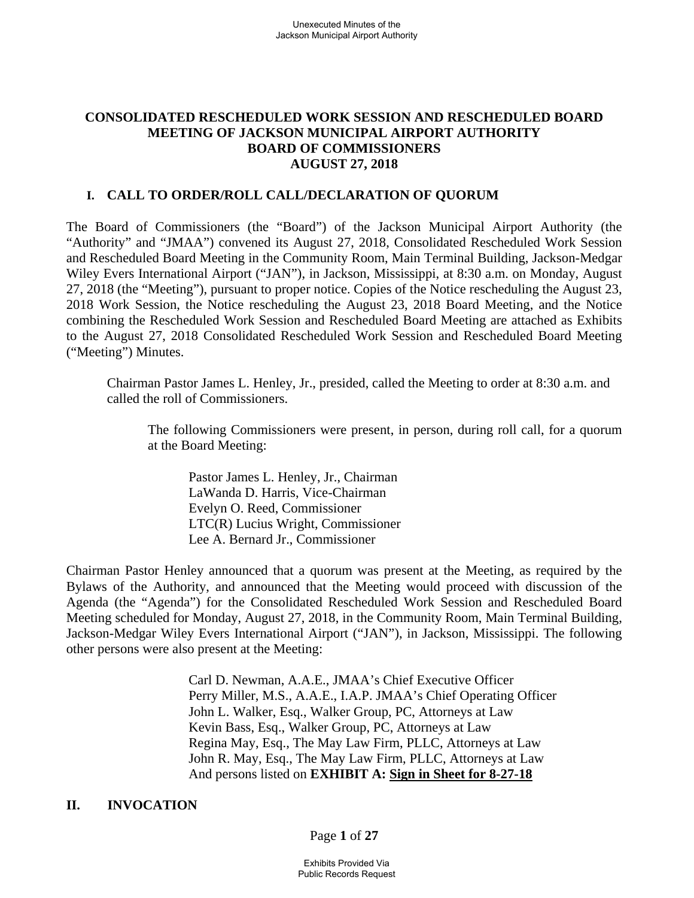## **CONSOLIDATED RESCHEDULED WORK SESSION AND RESCHEDULED BOARD MEETING OF JACKSON MUNICIPAL AIRPORT AUTHORITY BOARD OF COMMISSIONERS AUGUST 27, 2018**

### **I. CALL TO ORDER/ROLL CALL/DECLARATION OF QUORUM**

The Board of Commissioners (the "Board") of the Jackson Municipal Airport Authority (the "Authority" and "JMAA") convened its August 27, 2018, Consolidated Rescheduled Work Session and Rescheduled Board Meeting in the Community Room, Main Terminal Building, Jackson-Medgar Wiley Evers International Airport ("JAN"), in Jackson, Mississippi, at 8:30 a.m. on Monday, August 27, 2018 (the "Meeting"), pursuant to proper notice. Copies of the Notice rescheduling the August 23, 2018 Work Session, the Notice rescheduling the August 23, 2018 Board Meeting, and the Notice combining the Rescheduled Work Session and Rescheduled Board Meeting are attached as Exhibits to the August 27, 2018 Consolidated Rescheduled Work Session and Rescheduled Board Meeting ("Meeting") Minutes.

 Chairman Pastor James L. Henley, Jr., presided, called the Meeting to order at 8:30 a.m. and called the roll of Commissioners.

The following Commissioners were present, in person, during roll call, for a quorum at the Board Meeting:

Pastor James L. Henley, Jr., Chairman LaWanda D. Harris, Vice-Chairman Evelyn O. Reed, Commissioner LTC(R) Lucius Wright, Commissioner Lee A. Bernard Jr., Commissioner

Chairman Pastor Henley announced that a quorum was present at the Meeting, as required by the Bylaws of the Authority, and announced that the Meeting would proceed with discussion of the Agenda (the "Agenda") for the Consolidated Rescheduled Work Session and Rescheduled Board Meeting scheduled for Monday, August 27, 2018, in the Community Room, Main Terminal Building, Jackson-Medgar Wiley Evers International Airport ("JAN"), in Jackson, Mississippi. The following other persons were also present at the Meeting:

> Carl D. Newman, A.A.E., JMAA's Chief Executive Officer Perry Miller, M.S., A.A.E., I.A.P. JMAA's Chief Operating Officer John L. Walker, Esq., Walker Group, PC, Attorneys at Law Kevin Bass, Esq., Walker Group, PC, Attorneys at Law Regina May, Esq., The May Law Firm, PLLC, Attorneys at Law John R. May, Esq., The May Law Firm, PLLC, Attorneys at Law And persons listed on **EXHIBIT A: Sign in Sheet for 8-27-18**

## **II. INVOCATION**

### Page **1** of **27**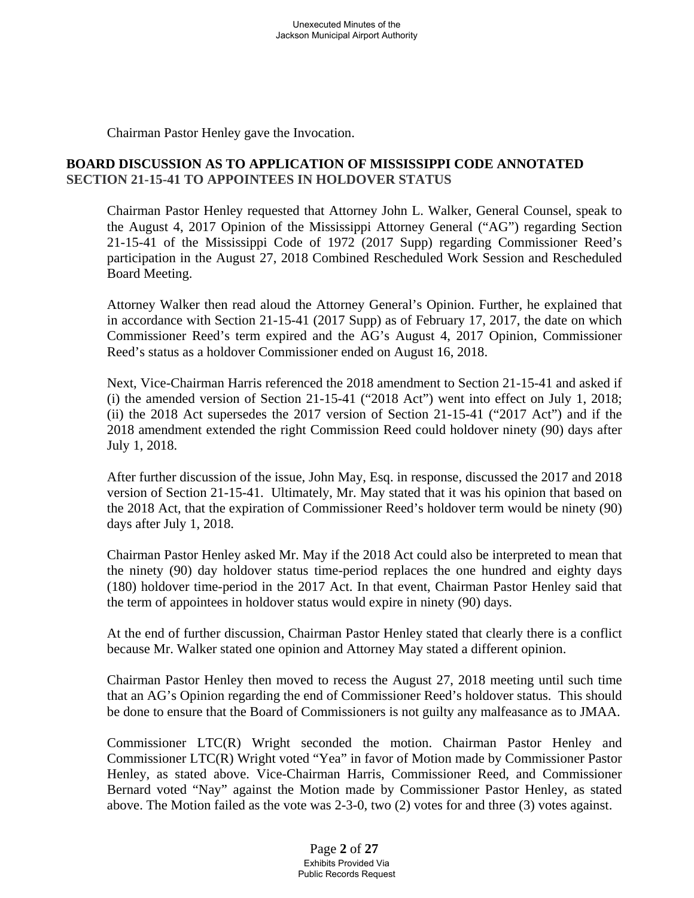Chairman Pastor Henley gave the Invocation.

# **BOARD DISCUSSION AS TO APPLICATION OF MISSISSIPPI CODE ANNOTATED SECTION 21-15-41 TO APPOINTEES IN HOLDOVER STATUS**

Chairman Pastor Henley requested that Attorney John L. Walker, General Counsel, speak to the August 4, 2017 Opinion of the Mississippi Attorney General ("AG") regarding Section 21-15-41 of the Mississippi Code of 1972 (2017 Supp) regarding Commissioner Reed's participation in the August 27, 2018 Combined Rescheduled Work Session and Rescheduled Board Meeting.

 Attorney Walker then read aloud the Attorney General's Opinion. Further, he explained that in accordance with Section 21-15-41 (2017 Supp) as of February 17, 2017, the date on which Commissioner Reed's term expired and the AG's August 4, 2017 Opinion, Commissioner Reed's status as a holdover Commissioner ended on August 16, 2018.

 Next, Vice-Chairman Harris referenced the 2018 amendment to Section 21-15-41 and asked if (i) the amended version of Section 21-15-41 ("2018 Act") went into effect on July 1, 2018; (ii) the 2018 Act supersedes the 2017 version of Section 21-15-41 ("2017 Act") and if the 2018 amendment extended the right Commission Reed could holdover ninety (90) days after July 1, 2018.

 After further discussion of the issue, John May, Esq. in response, discussed the 2017 and 2018 version of Section 21-15-41. Ultimately, Mr. May stated that it was his opinion that based on the 2018 Act, that the expiration of Commissioner Reed's holdover term would be ninety (90) days after July 1, 2018.

Chairman Pastor Henley asked Mr. May if the 2018 Act could also be interpreted to mean that the ninety (90) day holdover status time-period replaces the one hundred and eighty days (180) holdover time-period in the 2017 Act. In that event, Chairman Pastor Henley said that the term of appointees in holdover status would expire in ninety (90) days.

At the end of further discussion, Chairman Pastor Henley stated that clearly there is a conflict because Mr. Walker stated one opinion and Attorney May stated a different opinion.

Chairman Pastor Henley then moved to recess the August 27, 2018 meeting until such time that an AG's Opinion regarding the end of Commissioner Reed's holdover status. This should be done to ensure that the Board of Commissioners is not guilty any malfeasance as to JMAA.

Commissioner LTC(R) Wright seconded the motion. Chairman Pastor Henley and Commissioner LTC(R) Wright voted "Yea" in favor of Motion made by Commissioner Pastor Henley, as stated above. Vice-Chairman Harris, Commissioner Reed, and Commissioner Bernard voted "Nay" against the Motion made by Commissioner Pastor Henley, as stated above. The Motion failed as the vote was 2-3-0, two (2) votes for and three (3) votes against.

> Page **2** of **27** Exhibits Provided Via Public Records Request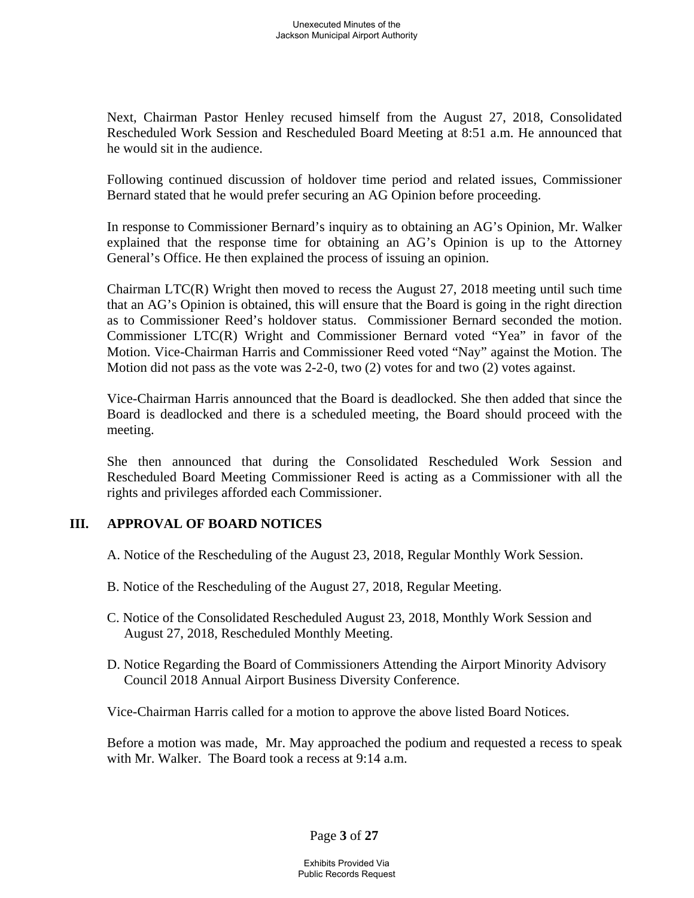Next, Chairman Pastor Henley recused himself from the August 27, 2018, Consolidated Rescheduled Work Session and Rescheduled Board Meeting at 8:51 a.m. He announced that he would sit in the audience.

Following continued discussion of holdover time period and related issues, Commissioner Bernard stated that he would prefer securing an AG Opinion before proceeding.

In response to Commissioner Bernard's inquiry as to obtaining an AG's Opinion, Mr. Walker explained that the response time for obtaining an AG's Opinion is up to the Attorney General's Office. He then explained the process of issuing an opinion.

Chairman LTC(R) Wright then moved to recess the August 27, 2018 meeting until such time that an AG's Opinion is obtained, this will ensure that the Board is going in the right direction as to Commissioner Reed's holdover status. Commissioner Bernard seconded the motion. Commissioner LTC(R) Wright and Commissioner Bernard voted "Yea" in favor of the Motion. Vice-Chairman Harris and Commissioner Reed voted "Nay" against the Motion. The Motion did not pass as the vote was 2-2-0, two (2) votes for and two (2) votes against.

Vice-Chairman Harris announced that the Board is deadlocked. She then added that since the Board is deadlocked and there is a scheduled meeting, the Board should proceed with the meeting.

She then announced that during the Consolidated Rescheduled Work Session and Rescheduled Board Meeting Commissioner Reed is acting as a Commissioner with all the rights and privileges afforded each Commissioner.

## **III. APPROVAL OF BOARD NOTICES**

- A. Notice of the Rescheduling of the August 23, 2018, Regular Monthly Work Session.
- B. Notice of the Rescheduling of the August 27, 2018, Regular Meeting.
- C. Notice of the Consolidated Rescheduled August 23, 2018, Monthly Work Session and August 27, 2018, Rescheduled Monthly Meeting.
- D. Notice Regarding the Board of Commissioners Attending the Airport Minority Advisory Council 2018 Annual Airport Business Diversity Conference.

Vice-Chairman Harris called for a motion to approve the above listed Board Notices.

Before a motion was made, Mr. May approached the podium and requested a recess to speak with Mr. Walker. The Board took a recess at 9:14 a.m.

Page **3** of **27**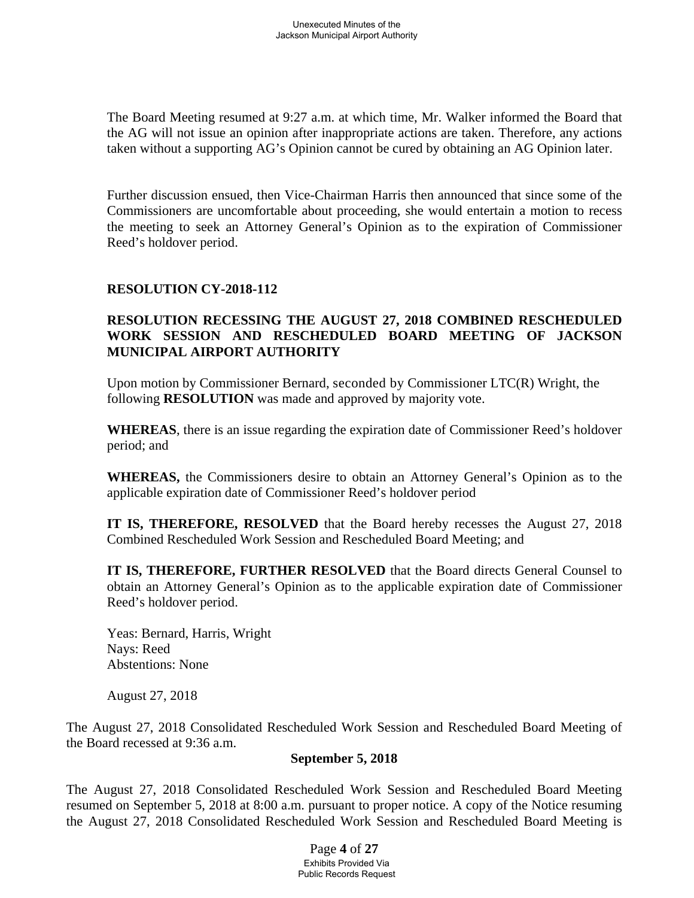The Board Meeting resumed at 9:27 a.m. at which time, Mr. Walker informed the Board that the AG will not issue an opinion after inappropriate actions are taken. Therefore, any actions taken without a supporting AG's Opinion cannot be cured by obtaining an AG Opinion later.

Further discussion ensued, then Vice-Chairman Harris then announced that since some of the Commissioners are uncomfortable about proceeding, she would entertain a motion to recess the meeting to seek an Attorney General's Opinion as to the expiration of Commissioner Reed's holdover period.

## **RESOLUTION CY-2018-112**

## **RESOLUTION RECESSING THE AUGUST 27, 2018 COMBINED RESCHEDULED WORK SESSION AND RESCHEDULED BOARD MEETING OF JACKSON MUNICIPAL AIRPORT AUTHORITY**

Upon motion by Commissioner Bernard, seconded by Commissioner LTC(R) Wright, the following **RESOLUTION** was made and approved by majority vote.

**WHEREAS**, there is an issue regarding the expiration date of Commissioner Reed's holdover period; and

**WHEREAS,** the Commissioners desire to obtain an Attorney General's Opinion as to the applicable expiration date of Commissioner Reed's holdover period

**IT IS, THEREFORE, RESOLVED** that the Board hereby recesses the August 27, 2018 Combined Rescheduled Work Session and Rescheduled Board Meeting; and

**IT IS, THEREFORE, FURTHER RESOLVED** that the Board directs General Counsel to obtain an Attorney General's Opinion as to the applicable expiration date of Commissioner Reed's holdover period.

Yeas: Bernard, Harris, Wright Nays: Reed Abstentions: None

August 27, 2018

The August 27, 2018 Consolidated Rescheduled Work Session and Rescheduled Board Meeting of the Board recessed at 9:36 a.m.

### **September 5, 2018**

The August 27, 2018 Consolidated Rescheduled Work Session and Rescheduled Board Meeting resumed on September 5, 2018 at 8:00 a.m. pursuant to proper notice. A copy of the Notice resuming the August 27, 2018 Consolidated Rescheduled Work Session and Rescheduled Board Meeting is

> Page **4** of **27** Exhibits Provided Via Public Records Request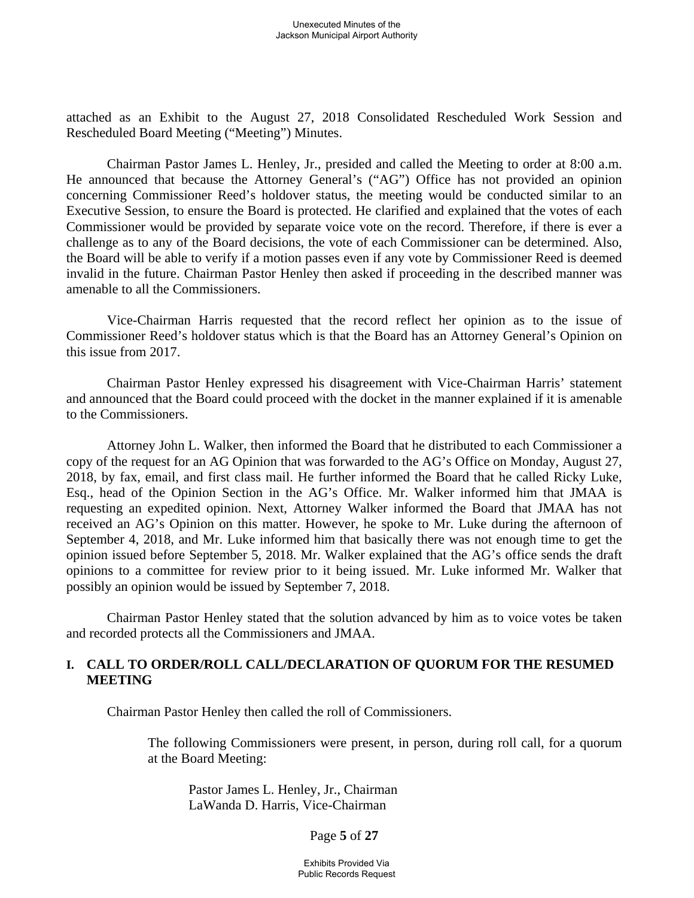attached as an Exhibit to the August 27, 2018 Consolidated Rescheduled Work Session and Rescheduled Board Meeting ("Meeting") Minutes.

 Chairman Pastor James L. Henley, Jr., presided and called the Meeting to order at 8:00 a.m. He announced that because the Attorney General's ("AG") Office has not provided an opinion concerning Commissioner Reed's holdover status, the meeting would be conducted similar to an Executive Session, to ensure the Board is protected. He clarified and explained that the votes of each Commissioner would be provided by separate voice vote on the record. Therefore, if there is ever a challenge as to any of the Board decisions, the vote of each Commissioner can be determined. Also, the Board will be able to verify if a motion passes even if any vote by Commissioner Reed is deemed invalid in the future. Chairman Pastor Henley then asked if proceeding in the described manner was amenable to all the Commissioners.

 Vice-Chairman Harris requested that the record reflect her opinion as to the issue of Commissioner Reed's holdover status which is that the Board has an Attorney General's Opinion on this issue from 2017.

 Chairman Pastor Henley expressed his disagreement with Vice-Chairman Harris' statement and announced that the Board could proceed with the docket in the manner explained if it is amenable to the Commissioners.

 Attorney John L. Walker, then informed the Board that he distributed to each Commissioner a copy of the request for an AG Opinion that was forwarded to the AG's Office on Monday, August 27, 2018, by fax, email, and first class mail. He further informed the Board that he called Ricky Luke, Esq., head of the Opinion Section in the AG's Office. Mr. Walker informed him that JMAA is requesting an expedited opinion. Next, Attorney Walker informed the Board that JMAA has not received an AG's Opinion on this matter. However, he spoke to Mr. Luke during the afternoon of September 4, 2018, and Mr. Luke informed him that basically there was not enough time to get the opinion issued before September 5, 2018. Mr. Walker explained that the AG's office sends the draft opinions to a committee for review prior to it being issued. Mr. Luke informed Mr. Walker that possibly an opinion would be issued by September 7, 2018.

Chairman Pastor Henley stated that the solution advanced by him as to voice votes be taken and recorded protects all the Commissioners and JMAA.

### **I. CALL TO ORDER/ROLL CALL/DECLARATION OF QUORUM FOR THE RESUMED MEETING**

Chairman Pastor Henley then called the roll of Commissioners.

 The following Commissioners were present, in person, during roll call, for a quorum at the Board Meeting:

 Pastor James L. Henley, Jr., Chairman LaWanda D. Harris, Vice-Chairman

Page **5** of **27**

Exhibits Provided Via Public Records Request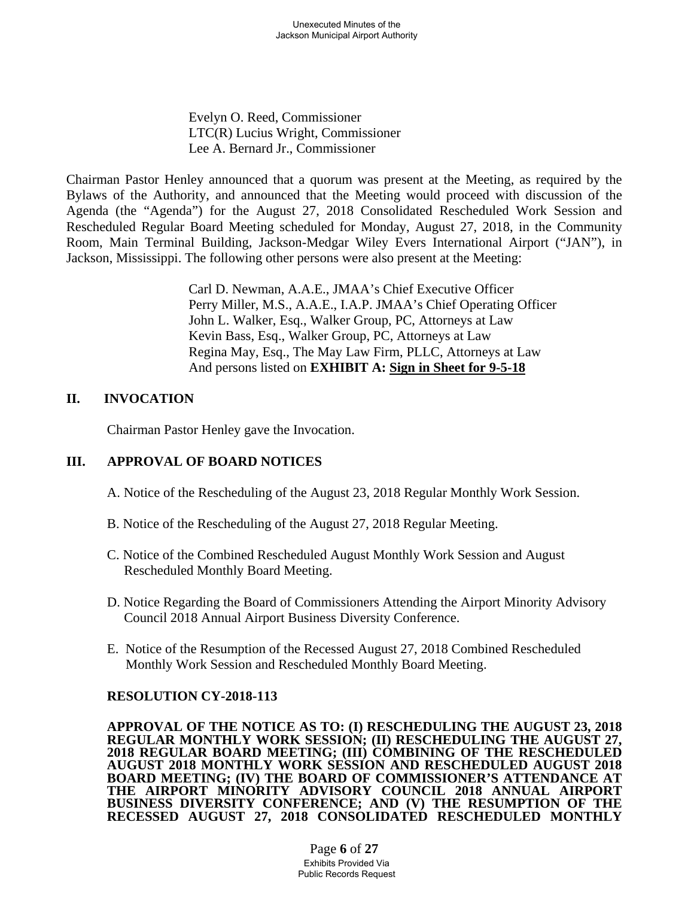Evelyn O. Reed, Commissioner LTC(R) Lucius Wright, Commissioner Lee A. Bernard Jr., Commissioner

Chairman Pastor Henley announced that a quorum was present at the Meeting, as required by the Bylaws of the Authority, and announced that the Meeting would proceed with discussion of the Agenda (the "Agenda") for the August 27, 2018 Consolidated Rescheduled Work Session and Rescheduled Regular Board Meeting scheduled for Monday, August 27, 2018, in the Community Room, Main Terminal Building, Jackson-Medgar Wiley Evers International Airport ("JAN"), in Jackson, Mississippi. The following other persons were also present at the Meeting:

> Carl D. Newman, A.A.E., JMAA's Chief Executive Officer Perry Miller, M.S., A.A.E., I.A.P. JMAA's Chief Operating Officer John L. Walker, Esq., Walker Group, PC, Attorneys at Law Kevin Bass, Esq., Walker Group, PC, Attorneys at Law Regina May, Esq., The May Law Firm, PLLC, Attorneys at Law And persons listed on **EXHIBIT A: Sign in Sheet for 9-5-18**

### **II. INVOCATION**

Chairman Pastor Henley gave the Invocation.

## **III. APPROVAL OF BOARD NOTICES**

A. Notice of the Rescheduling of the August 23, 2018 Regular Monthly Work Session.

- B. Notice of the Rescheduling of the August 27, 2018 Regular Meeting.
- C. Notice of the Combined Rescheduled August Monthly Work Session and August Rescheduled Monthly Board Meeting.
- D. Notice Regarding the Board of Commissioners Attending the Airport Minority Advisory Council 2018 Annual Airport Business Diversity Conference.
- E. Notice of the Resumption of the Recessed August 27, 2018 Combined Rescheduled Monthly Work Session and Rescheduled Monthly Board Meeting.

## **RESOLUTION CY-2018-113**

**APPROVAL OF THE NOTICE AS TO: (I) RESCHEDULING THE AUGUST 23, 2018 REGULAR MONTHLY WORK SESSION; (II) RESCHEDULING THE AUGUST 27, 2018 REGULAR BOARD MEETING; (III) COMBINING OF THE RESCHEDULED AUGUST 2018 MONTHLY WORK SESSION AND RESCHEDULED AUGUST 2018 BOARD MEETING; (IV) THE BOARD OF COMMISSIONER'S ATTENDANCE AT THE AIRPORT MINORITY ADVISORY COUNCIL 2018 ANNUAL AIRPORT BUSINESS DIVERSITY CONFERENCE; AND (V) THE RESUMPTION OF THE RECESSED AUGUST 27, 2018 CONSOLIDATED RESCHEDULED MONTHLY** 

> Page **6** of **27** Exhibits Provided Via Public Records Request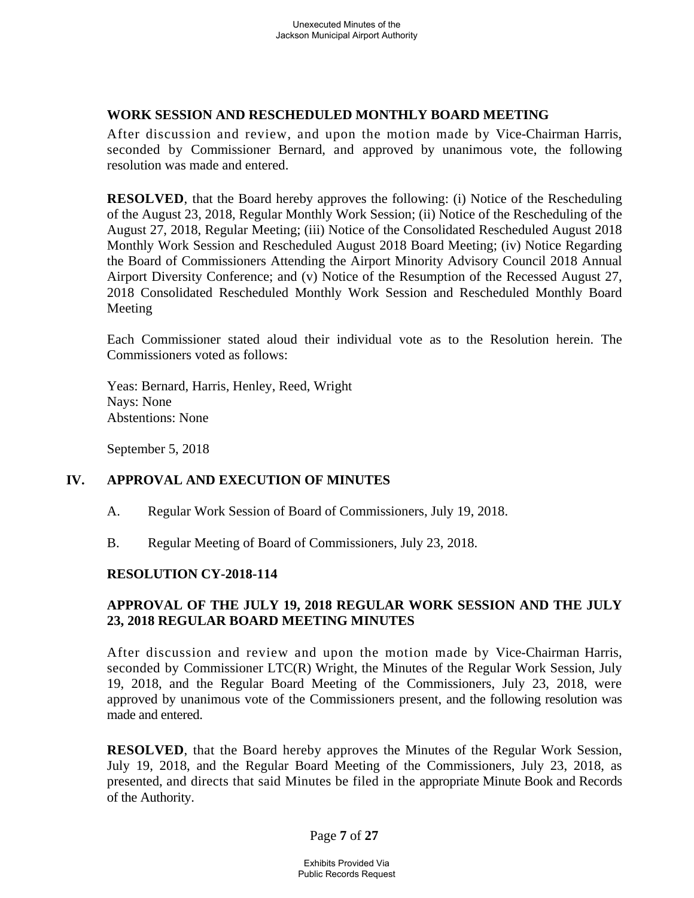### **WORK SESSION AND RESCHEDULED MONTHLY BOARD MEETING**

After discussion and review, and upon the motion made by Vice-Chairman Harris, seconded by Commissioner Bernard, and approved by unanimous vote, the following resolution was made and entered.

**RESOLVED**, that the Board hereby approves the following: (i) Notice of the Rescheduling of the August 23, 2018, Regular Monthly Work Session; (ii) Notice of the Rescheduling of the August 27, 2018, Regular Meeting; (iii) Notice of the Consolidated Rescheduled August 2018 Monthly Work Session and Rescheduled August 2018 Board Meeting; (iv) Notice Regarding the Board of Commissioners Attending the Airport Minority Advisory Council 2018 Annual Airport Diversity Conference; and (v) Notice of the Resumption of the Recessed August 27, 2018 Consolidated Rescheduled Monthly Work Session and Rescheduled Monthly Board Meeting

Each Commissioner stated aloud their individual vote as to the Resolution herein. The Commissioners voted as follows:

Yeas: Bernard, Harris, Henley, Reed, Wright Nays: None Abstentions: None

September 5, 2018

## **IV. APPROVAL AND EXECUTION OF MINUTES**

- A. Regular Work Session of Board of Commissioners, July 19, 2018.
- B. Regular Meeting of Board of Commissioners, July 23, 2018.

## **RESOLUTION CY-2018-114**

## **APPROVAL OF THE JULY 19, 2018 REGULAR WORK SESSION AND THE JULY 23, 2018 REGULAR BOARD MEETING MINUTES**

After discussion and review and upon the motion made by Vice-Chairman Harris, seconded by Commissioner LTC(R) Wright, the Minutes of the Regular Work Session, July 19, 2018, and the Regular Board Meeting of the Commissioners, July 23, 2018, were approved by unanimous vote of the Commissioners present, and the following resolution was made and entered.

**RESOLVED**, that the Board hereby approves the Minutes of the Regular Work Session, July 19, 2018, and the Regular Board Meeting of the Commissioners, July 23, 2018, as presented, and directs that said Minutes be filed in the appropriate Minute Book and Records of the Authority.

Page **7** of **27**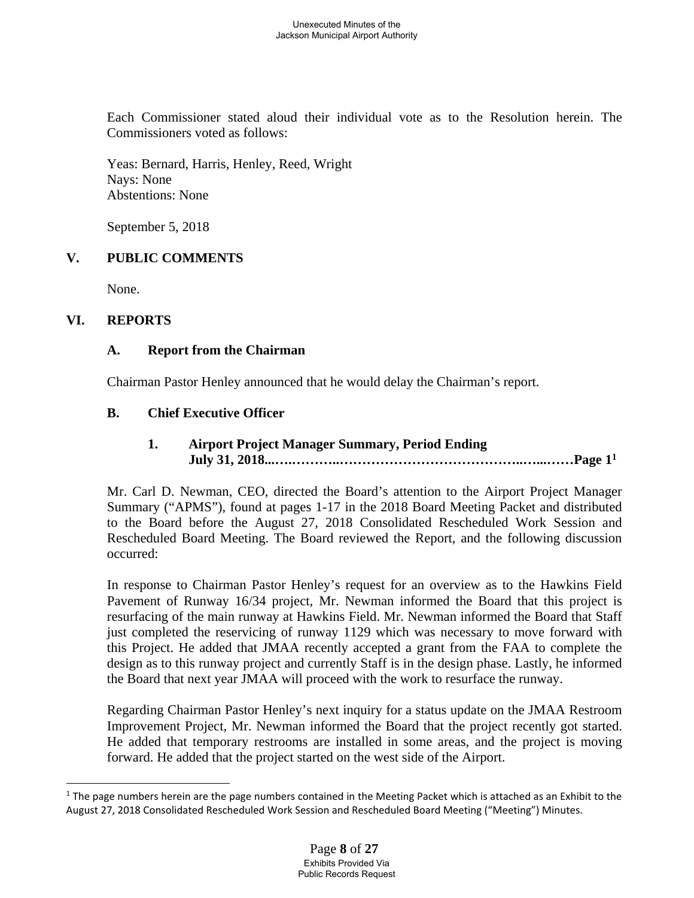Each Commissioner stated aloud their individual vote as to the Resolution herein. The Commissioners voted as follows:

Yeas: Bernard, Harris, Henley, Reed, Wright Nays: None Abstentions: None

September 5, 2018

# **V. PUBLIC COMMENTS**

None.

## **VI. REPORTS**

 $\overline{a}$ 

## **A. Report from the Chairman**

Chairman Pastor Henley announced that he would delay the Chairman's report.

### **B. Chief Executive Officer**

 **1. Airport Project Manager Summary, Period Ending July 31, 2018...….………..…………………………………..…...……Page 11**

Mr. Carl D. Newman, CEO, directed the Board's attention to the Airport Project Manager Summary ("APMS"), found at pages 1-17 in the 2018 Board Meeting Packet and distributed to the Board before the August 27, 2018 Consolidated Rescheduled Work Session and Rescheduled Board Meeting. The Board reviewed the Report, and the following discussion occurred:

In response to Chairman Pastor Henley's request for an overview as to the Hawkins Field Pavement of Runway 16/34 project, Mr. Newman informed the Board that this project is resurfacing of the main runway at Hawkins Field. Mr. Newman informed the Board that Staff just completed the reservicing of runway 1129 which was necessary to move forward with this Project. He added that JMAA recently accepted a grant from the FAA to complete the design as to this runway project and currently Staff is in the design phase. Lastly, he informed the Board that next year JMAA will proceed with the work to resurface the runway.

Regarding Chairman Pastor Henley's next inquiry for a status update on the JMAA Restroom Improvement Project, Mr. Newman informed the Board that the project recently got started. He added that temporary restrooms are installed in some areas, and the project is moving forward. He added that the project started on the west side of the Airport.

 $1$  The page numbers herein are the page numbers contained in the Meeting Packet which is attached as an Exhibit to the August 27, 2018 Consolidated Rescheduled Work Session and Rescheduled Board Meeting ("Meeting") Minutes.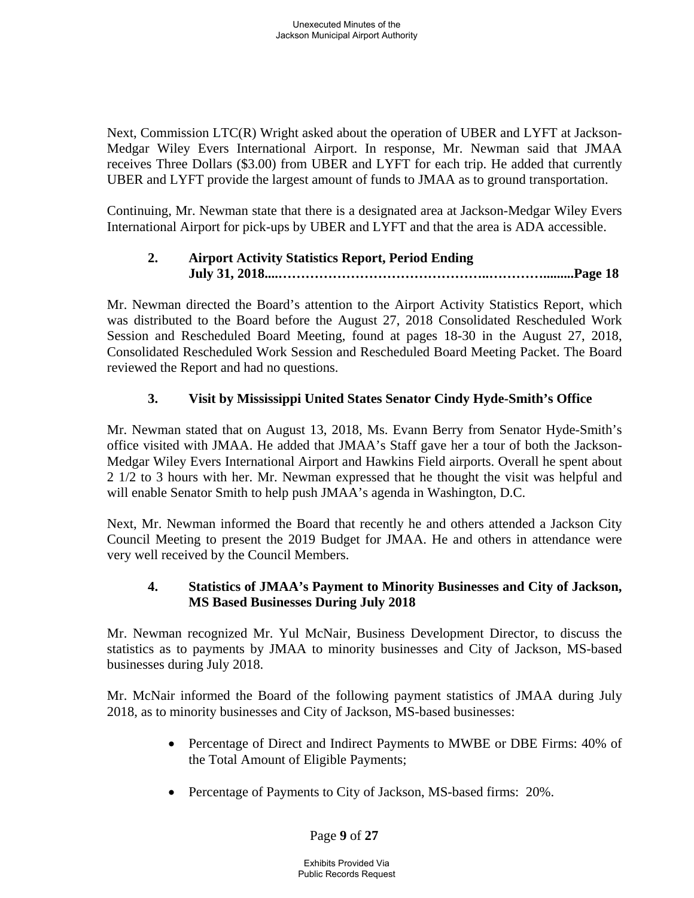Next, Commission LTC(R) Wright asked about the operation of UBER and LYFT at Jackson-Medgar Wiley Evers International Airport. In response, Mr. Newman said that JMAA receives Three Dollars (\$3.00) from UBER and LYFT for each trip. He added that currently UBER and LYFT provide the largest amount of funds to JMAA as to ground transportation.

Continuing, Mr. Newman state that there is a designated area at Jackson-Medgar Wiley Evers International Airport for pick-ups by UBER and LYFT and that the area is ADA accessible.

# **2. Airport Activity Statistics Report, Period Ending July 31, 2018....………………………………………..………….........Page 18**

Mr. Newman directed the Board's attention to the Airport Activity Statistics Report, which was distributed to the Board before the August 27, 2018 Consolidated Rescheduled Work Session and Rescheduled Board Meeting, found at pages 18-30 in the August 27, 2018, Consolidated Rescheduled Work Session and Rescheduled Board Meeting Packet. The Board reviewed the Report and had no questions.

# **3. Visit by Mississippi United States Senator Cindy Hyde-Smith's Office**

Mr. Newman stated that on August 13, 2018, Ms. Evann Berry from Senator Hyde-Smith's office visited with JMAA. He added that JMAA's Staff gave her a tour of both the Jackson-Medgar Wiley Evers International Airport and Hawkins Field airports. Overall he spent about 2 1/2 to 3 hours with her. Mr. Newman expressed that he thought the visit was helpful and will enable Senator Smith to help push JMAA's agenda in Washington, D.C.

Next, Mr. Newman informed the Board that recently he and others attended a Jackson City Council Meeting to present the 2019 Budget for JMAA. He and others in attendance were very well received by the Council Members.

## **4. Statistics of JMAA's Payment to Minority Businesses and City of Jackson, MS Based Businesses During July 2018**

Mr. Newman recognized Mr. Yul McNair, Business Development Director, to discuss the statistics as to payments by JMAA to minority businesses and City of Jackson, MS-based businesses during July 2018.

Mr. McNair informed the Board of the following payment statistics of JMAA during July 2018, as to minority businesses and City of Jackson, MS-based businesses:

- Percentage of Direct and Indirect Payments to MWBE or DBE Firms: 40% of the Total Amount of Eligible Payments;
- Percentage of Payments to City of Jackson, MS-based firms: 20%.

Page **9** of **27**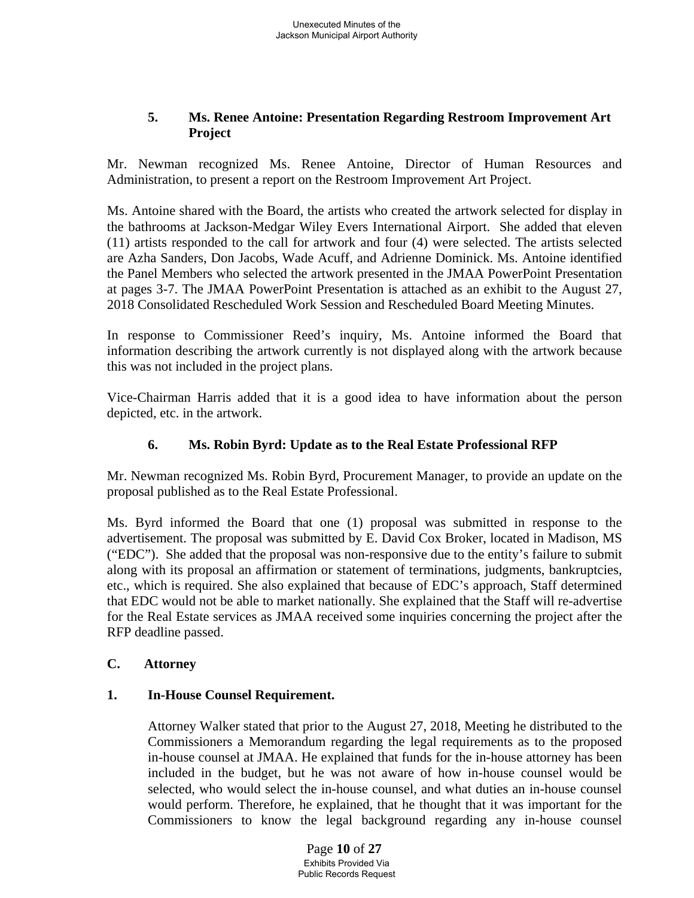## **5. Ms. Renee Antoine: Presentation Regarding Restroom Improvement Art Project**

Mr. Newman recognized Ms. Renee Antoine, Director of Human Resources and Administration, to present a report on the Restroom Improvement Art Project.

Ms. Antoine shared with the Board, the artists who created the artwork selected for display in the bathrooms at Jackson-Medgar Wiley Evers International Airport. She added that eleven (11) artists responded to the call for artwork and four (4) were selected. The artists selected are Azha Sanders, Don Jacobs, Wade Acuff, and Adrienne Dominick. Ms. Antoine identified the Panel Members who selected the artwork presented in the JMAA PowerPoint Presentation at pages 3-7. The JMAA PowerPoint Presentation is attached as an exhibit to the August 27, 2018 Consolidated Rescheduled Work Session and Rescheduled Board Meeting Minutes.

In response to Commissioner Reed's inquiry, Ms. Antoine informed the Board that information describing the artwork currently is not displayed along with the artwork because this was not included in the project plans.

Vice-Chairman Harris added that it is a good idea to have information about the person depicted, etc. in the artwork.

## **6. Ms. Robin Byrd: Update as to the Real Estate Professional RFP**

Mr. Newman recognized Ms. Robin Byrd, Procurement Manager, to provide an update on the proposal published as to the Real Estate Professional.

Ms. Byrd informed the Board that one (1) proposal was submitted in response to the advertisement. The proposal was submitted by E. David Cox Broker, located in Madison, MS ("EDC"). She added that the proposal was non-responsive due to the entity's failure to submit along with its proposal an affirmation or statement of terminations, judgments, bankruptcies, etc., which is required. She also explained that because of EDC's approach, Staff determined that EDC would not be able to market nationally. She explained that the Staff will re-advertise for the Real Estate services as JMAA received some inquiries concerning the project after the RFP deadline passed.

## **C. Attorney**

## **1. In-House Counsel Requirement.**

Attorney Walker stated that prior to the August 27, 2018, Meeting he distributed to the Commissioners a Memorandum regarding the legal requirements as to the proposed in-house counsel at JMAA. He explained that funds for the in-house attorney has been included in the budget, but he was not aware of how in-house counsel would be selected, who would select the in-house counsel, and what duties an in-house counsel would perform. Therefore, he explained, that he thought that it was important for the Commissioners to know the legal background regarding any in-house counsel

> Page **10** of **27** Exhibits Provided Via Public Records Request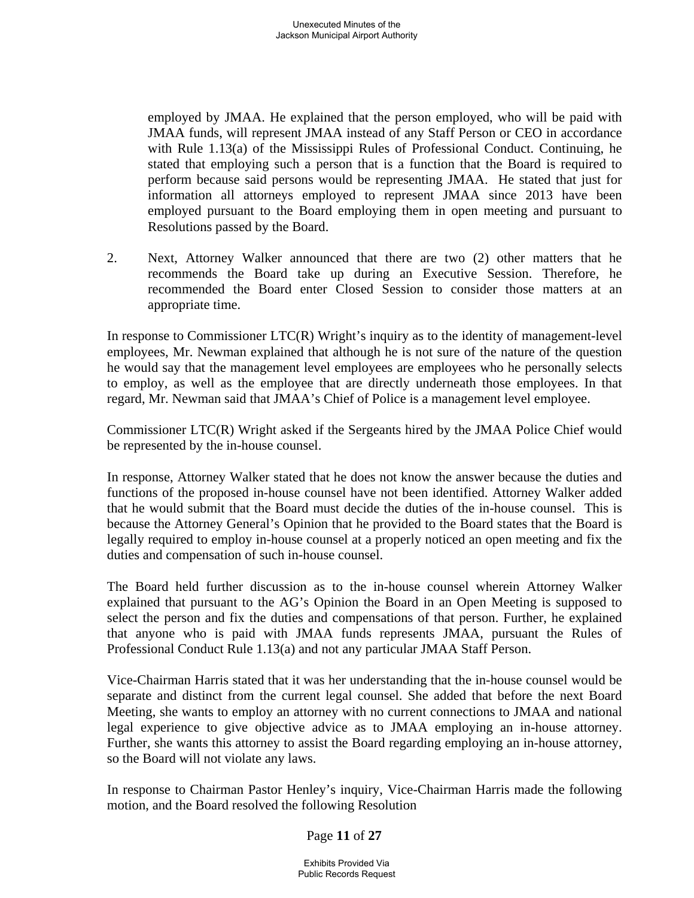employed by JMAA. He explained that the person employed, who will be paid with JMAA funds, will represent JMAA instead of any Staff Person or CEO in accordance with Rule 1.13(a) of the Mississippi Rules of Professional Conduct. Continuing, he stated that employing such a person that is a function that the Board is required to perform because said persons would be representing JMAA. He stated that just for information all attorneys employed to represent JMAA since 2013 have been employed pursuant to the Board employing them in open meeting and pursuant to Resolutions passed by the Board.

2. Next, Attorney Walker announced that there are two (2) other matters that he recommends the Board take up during an Executive Session. Therefore, he recommended the Board enter Closed Session to consider those matters at an appropriate time.

In response to Commissioner LTC(R) Wright's inquiry as to the identity of management-level employees, Mr. Newman explained that although he is not sure of the nature of the question he would say that the management level employees are employees who he personally selects to employ, as well as the employee that are directly underneath those employees. In that regard, Mr. Newman said that JMAA's Chief of Police is a management level employee.

Commissioner LTC(R) Wright asked if the Sergeants hired by the JMAA Police Chief would be represented by the in-house counsel.

In response, Attorney Walker stated that he does not know the answer because the duties and functions of the proposed in-house counsel have not been identified. Attorney Walker added that he would submit that the Board must decide the duties of the in-house counsel. This is because the Attorney General's Opinion that he provided to the Board states that the Board is legally required to employ in-house counsel at a properly noticed an open meeting and fix the duties and compensation of such in-house counsel.

The Board held further discussion as to the in-house counsel wherein Attorney Walker explained that pursuant to the AG's Opinion the Board in an Open Meeting is supposed to select the person and fix the duties and compensations of that person. Further, he explained that anyone who is paid with JMAA funds represents JMAA, pursuant the Rules of Professional Conduct Rule 1.13(a) and not any particular JMAA Staff Person.

Vice-Chairman Harris stated that it was her understanding that the in-house counsel would be separate and distinct from the current legal counsel. She added that before the next Board Meeting, she wants to employ an attorney with no current connections to JMAA and national legal experience to give objective advice as to JMAA employing an in-house attorney. Further, she wants this attorney to assist the Board regarding employing an in-house attorney, so the Board will not violate any laws.

In response to Chairman Pastor Henley's inquiry, Vice-Chairman Harris made the following motion, and the Board resolved the following Resolution

Page **11** of **27**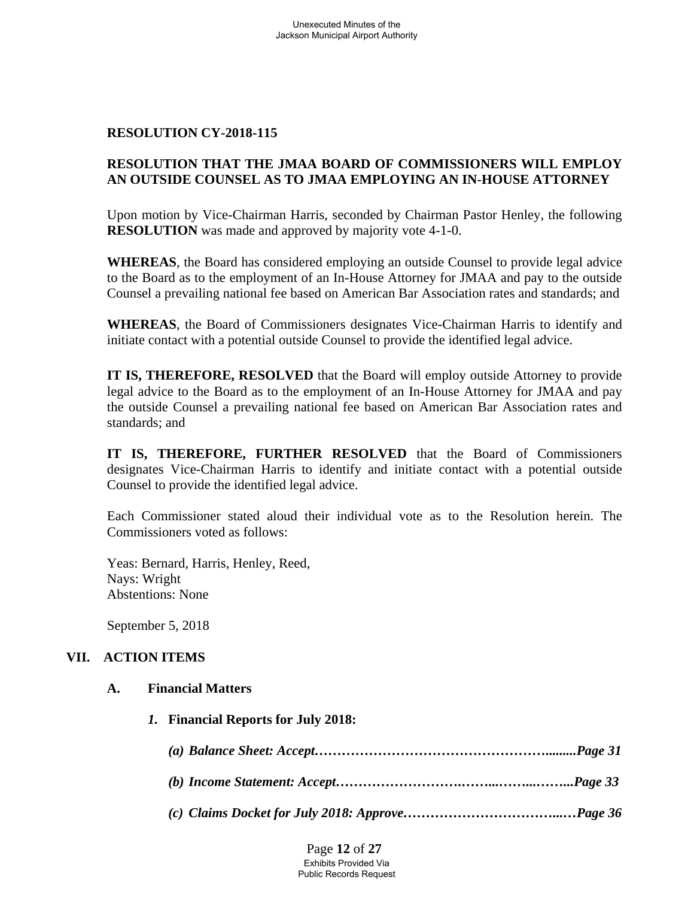## **RESOLUTION CY-2018-115**

# **RESOLUTION THAT THE JMAA BOARD OF COMMISSIONERS WILL EMPLOY AN OUTSIDE COUNSEL AS TO JMAA EMPLOYING AN IN-HOUSE ATTORNEY**

Upon motion by Vice-Chairman Harris, seconded by Chairman Pastor Henley, the following **RESOLUTION** was made and approved by majority vote 4-1-0.

**WHEREAS**, the Board has considered employing an outside Counsel to provide legal advice to the Board as to the employment of an In-House Attorney for JMAA and pay to the outside Counsel a prevailing national fee based on American Bar Association rates and standards; and

**WHEREAS**, the Board of Commissioners designates Vice-Chairman Harris to identify and initiate contact with a potential outside Counsel to provide the identified legal advice.

**IT IS, THEREFORE, RESOLVED** that the Board will employ outside Attorney to provide legal advice to the Board as to the employment of an In-House Attorney for JMAA and pay the outside Counsel a prevailing national fee based on American Bar Association rates and standards; and

**IT IS, THEREFORE, FURTHER RESOLVED** that the Board of Commissioners designates Vice-Chairman Harris to identify and initiate contact with a potential outside Counsel to provide the identified legal advice.

Each Commissioner stated aloud their individual vote as to the Resolution herein. The Commissioners voted as follows:

Yeas: Bernard, Harris, Henley, Reed, Nays: Wright Abstentions: None

September 5, 2018

## **VII. ACTION ITEMS**

### **A. Financial Matters**

*1.* **Financial Reports for July 2018:**

*(c) Claims Docket for July 2018: Approve……………………………...…Page 36*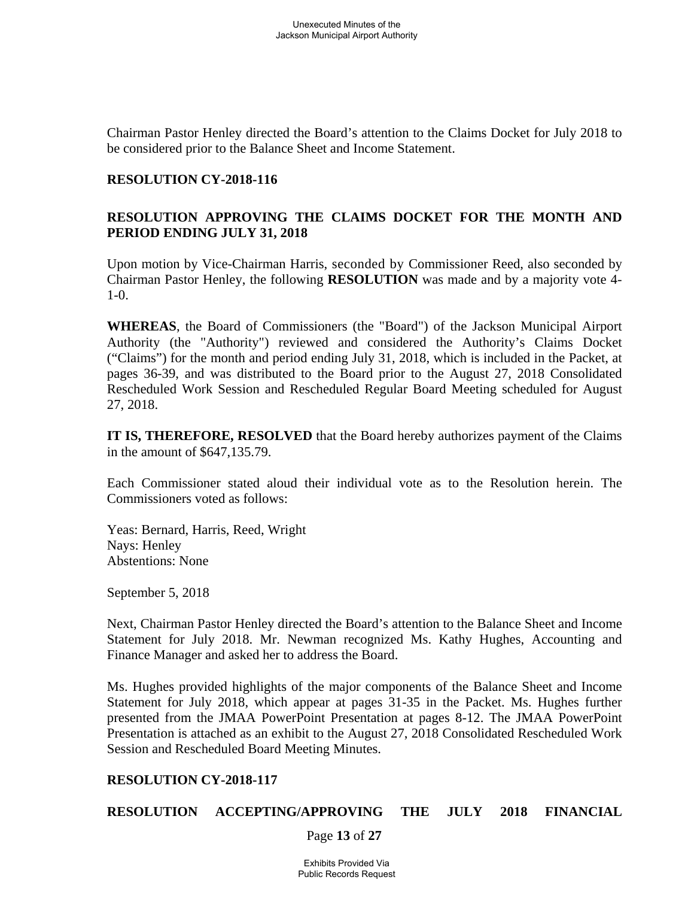Chairman Pastor Henley directed the Board's attention to the Claims Docket for July 2018 to be considered prior to the Balance Sheet and Income Statement.

### **RESOLUTION CY-2018-116**

## **RESOLUTION APPROVING THE CLAIMS DOCKET FOR THE MONTH AND PERIOD ENDING JULY 31, 2018**

Upon motion by Vice-Chairman Harris, seconded by Commissioner Reed, also seconded by Chairman Pastor Henley, the following **RESOLUTION** was made and by a majority vote 4- 1-0.

**WHEREAS**, the Board of Commissioners (the "Board") of the Jackson Municipal Airport Authority (the "Authority") reviewed and considered the Authority's Claims Docket ("Claims") for the month and period ending July 31, 2018, which is included in the Packet, at pages 36-39, and was distributed to the Board prior to the August 27, 2018 Consolidated Rescheduled Work Session and Rescheduled Regular Board Meeting scheduled for August 27, 2018.

**IT IS, THEREFORE, RESOLVED** that the Board hereby authorizes payment of the Claims in the amount of \$647,135.79.

Each Commissioner stated aloud their individual vote as to the Resolution herein. The Commissioners voted as follows:

Yeas: Bernard, Harris, Reed, Wright Nays: Henley Abstentions: None

September 5, 2018

Next, Chairman Pastor Henley directed the Board's attention to the Balance Sheet and Income Statement for July 2018. Mr. Newman recognized Ms. Kathy Hughes, Accounting and Finance Manager and asked her to address the Board.

Ms. Hughes provided highlights of the major components of the Balance Sheet and Income Statement for July 2018, which appear at pages 31-35 in the Packet. Ms. Hughes further presented from the JMAA PowerPoint Presentation at pages 8-12. The JMAA PowerPoint Presentation is attached as an exhibit to the August 27, 2018 Consolidated Rescheduled Work Session and Rescheduled Board Meeting Minutes.

## **RESOLUTION CY-2018-117**

## **RESOLUTION ACCEPTING/APPROVING THE JULY 2018 FINANCIAL**

Page **13** of **27**

Exhibits Provided Via Public Records Request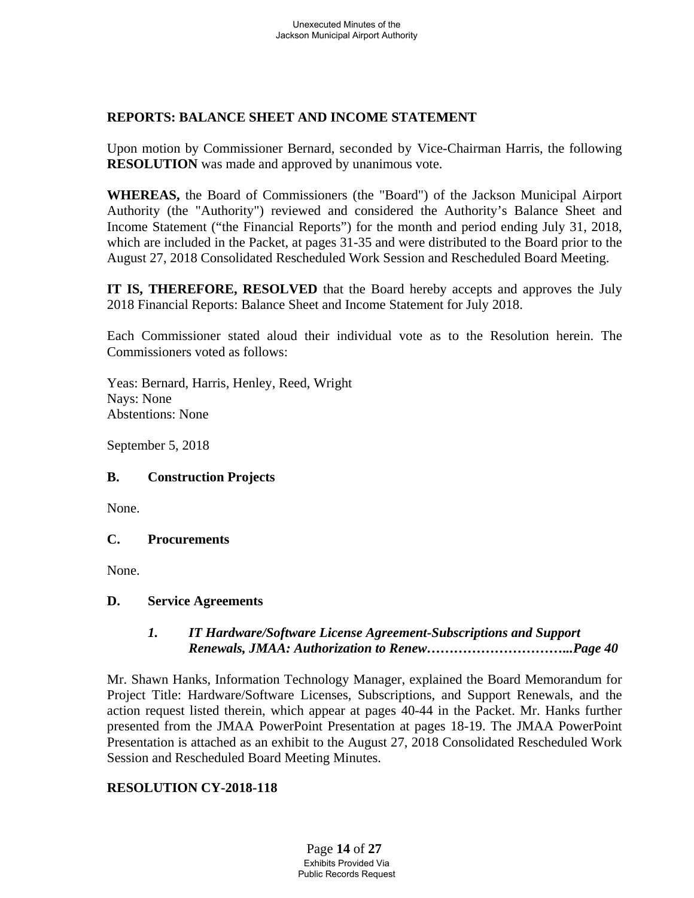## **REPORTS: BALANCE SHEET AND INCOME STATEMENT**

Upon motion by Commissioner Bernard, seconded by Vice-Chairman Harris, the following **RESOLUTION** was made and approved by unanimous vote.

**WHEREAS,** the Board of Commissioners (the "Board") of the Jackson Municipal Airport Authority (the "Authority") reviewed and considered the Authority's Balance Sheet and Income Statement ("the Financial Reports") for the month and period ending July 31, 2018, which are included in the Packet, at pages 31-35 and were distributed to the Board prior to the August 27, 2018 Consolidated Rescheduled Work Session and Rescheduled Board Meeting.

**IT IS, THEREFORE, RESOLVED** that the Board hereby accepts and approves the July 2018 Financial Reports: Balance Sheet and Income Statement for July 2018.

Each Commissioner stated aloud their individual vote as to the Resolution herein. The Commissioners voted as follows:

Yeas: Bernard, Harris, Henley, Reed, Wright Nays: None Abstentions: None

September 5, 2018

# **B. Construction Projects**

None.

# **C. Procurements**

None.

# **D. Service Agreements**

## *1. IT Hardware/Software License Agreement-Subscriptions and Support Renewals, JMAA: Authorization to Renew…………………………...Page 40*

Mr. Shawn Hanks, Information Technology Manager, explained the Board Memorandum for Project Title: Hardware/Software Licenses, Subscriptions, and Support Renewals, and the action request listed therein, which appear at pages 40-44 in the Packet. Mr. Hanks further presented from the JMAA PowerPoint Presentation at pages 18-19. The JMAA PowerPoint Presentation is attached as an exhibit to the August 27, 2018 Consolidated Rescheduled Work Session and Rescheduled Board Meeting Minutes.

# **RESOLUTION CY-2018-118**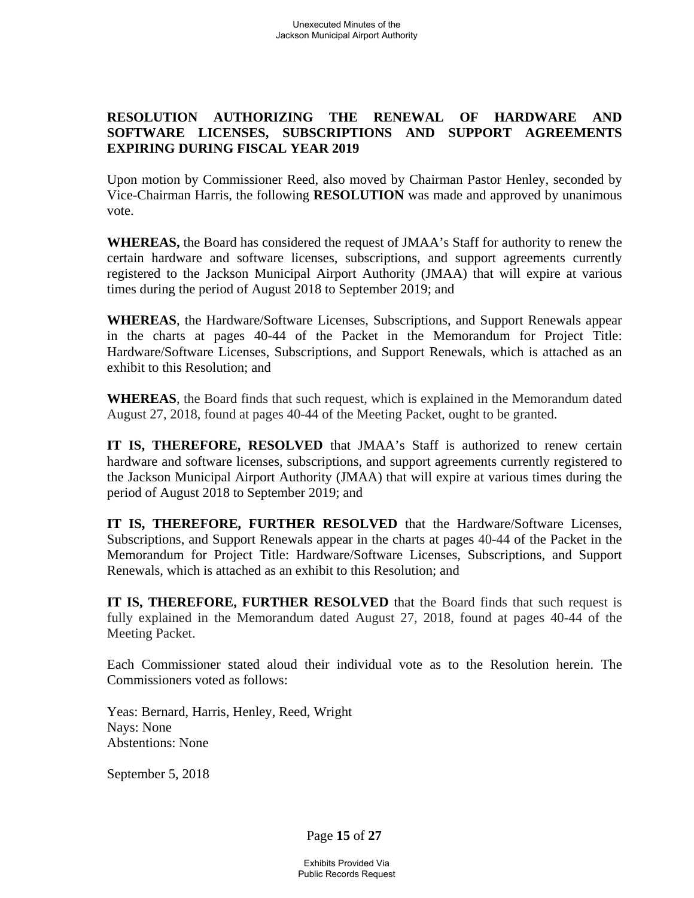## **RESOLUTION AUTHORIZING THE RENEWAL OF HARDWARE AND SOFTWARE LICENSES, SUBSCRIPTIONS AND SUPPORT AGREEMENTS EXPIRING DURING FISCAL YEAR 2019**

Upon motion by Commissioner Reed, also moved by Chairman Pastor Henley, seconded by Vice-Chairman Harris, the following **RESOLUTION** was made and approved by unanimous vote.

**WHEREAS,** the Board has considered the request of JMAA's Staff for authority to renew the certain hardware and software licenses, subscriptions, and support agreements currently registered to the Jackson Municipal Airport Authority (JMAA) that will expire at various times during the period of August 2018 to September 2019; and

**WHEREAS**, the Hardware/Software Licenses, Subscriptions, and Support Renewals appear in the charts at pages 40-44 of the Packet in the Memorandum for Project Title: Hardware/Software Licenses, Subscriptions, and Support Renewals, which is attached as an exhibit to this Resolution; and

**WHEREAS**, the Board finds that such request, which is explained in the Memorandum dated August 27, 2018, found at pages 40-44 of the Meeting Packet, ought to be granted.

**IT IS, THEREFORE, RESOLVED** that JMAA's Staff is authorized to renew certain hardware and software licenses, subscriptions, and support agreements currently registered to the Jackson Municipal Airport Authority (JMAA) that will expire at various times during the period of August 2018 to September 2019; and

**IT IS, THEREFORE, FURTHER RESOLVED** that the Hardware/Software Licenses, Subscriptions, and Support Renewals appear in the charts at pages 40-44 of the Packet in the Memorandum for Project Title: Hardware/Software Licenses, Subscriptions, and Support Renewals, which is attached as an exhibit to this Resolution; and

**IT IS, THEREFORE, FURTHER RESOLVED** that the Board finds that such request is fully explained in the Memorandum dated August 27, 2018, found at pages 40-44 of the Meeting Packet.

Each Commissioner stated aloud their individual vote as to the Resolution herein. The Commissioners voted as follows:

Yeas: Bernard, Harris, Henley, Reed, Wright Nays: None Abstentions: None

September 5, 2018

Page **15** of **27**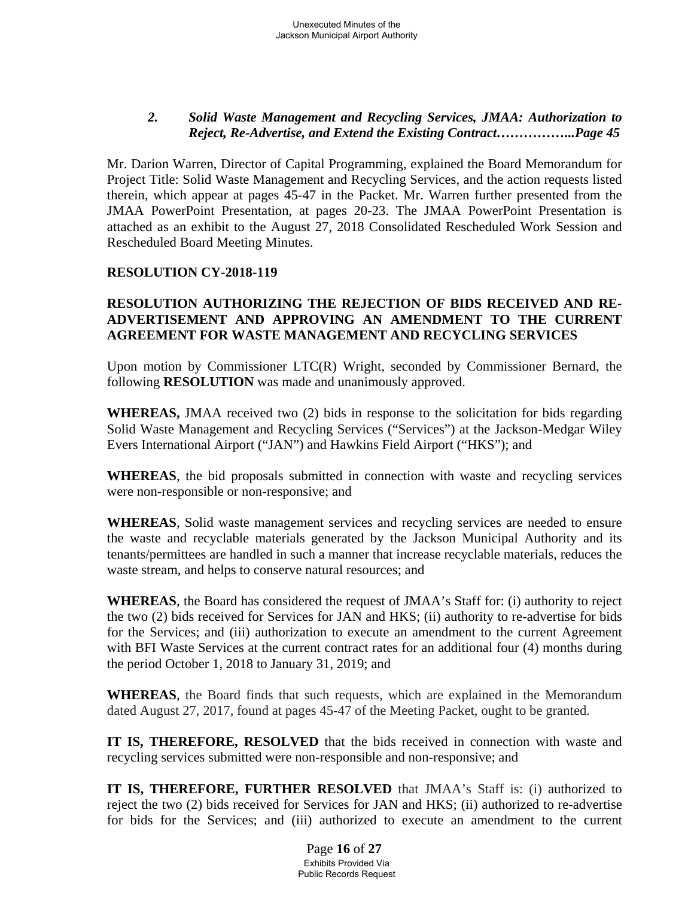## *2. Solid Waste Management and Recycling Services, JMAA: Authorization to Reject, Re-Advertise, and Extend the Existing Contract……………...Page 45*

Mr. Darion Warren, Director of Capital Programming, explained the Board Memorandum for Project Title: Solid Waste Management and Recycling Services, and the action requests listed therein, which appear at pages 45-47 in the Packet. Mr. Warren further presented from the JMAA PowerPoint Presentation, at pages 20-23. The JMAA PowerPoint Presentation is attached as an exhibit to the August 27, 2018 Consolidated Rescheduled Work Session and Rescheduled Board Meeting Minutes.

## **RESOLUTION CY-2018-119**

## **RESOLUTION AUTHORIZING THE REJECTION OF BIDS RECEIVED AND RE-ADVERTISEMENT AND APPROVING AN AMENDMENT TO THE CURRENT AGREEMENT FOR WASTE MANAGEMENT AND RECYCLING SERVICES**

Upon motion by Commissioner LTC(R) Wright, seconded by Commissioner Bernard, the following **RESOLUTION** was made and unanimously approved.

**WHEREAS,** JMAA received two (2) bids in response to the solicitation for bids regarding Solid Waste Management and Recycling Services ("Services") at the Jackson-Medgar Wiley Evers International Airport ("JAN") and Hawkins Field Airport ("HKS"); and

**WHEREAS**, the bid proposals submitted in connection with waste and recycling services were non-responsible or non-responsive; and

**WHEREAS**, Solid waste management services and recycling services are needed to ensure the waste and recyclable materials generated by the Jackson Municipal Authority and its tenants/permittees are handled in such a manner that increase recyclable materials, reduces the waste stream, and helps to conserve natural resources; and

**WHEREAS**, the Board has considered the request of JMAA's Staff for: (i) authority to reject the two (2) bids received for Services for JAN and HKS; (ii) authority to re-advertise for bids for the Services; and (iii) authorization to execute an amendment to the current Agreement with BFI Waste Services at the current contract rates for an additional four (4) months during the period October 1, 2018 to January 31, 2019; and

**WHEREAS**, the Board finds that such requests, which are explained in the Memorandum dated August 27, 2017, found at pages 45-47 of the Meeting Packet, ought to be granted.

**IT IS, THEREFORE, RESOLVED** that the bids received in connection with waste and recycling services submitted were non-responsible and non-responsive; and

**IT IS, THEREFORE, FURTHER RESOLVED** that JMAA's Staff is: (i) authorized to reject the two (2) bids received for Services for JAN and HKS; (ii) authorized to re-advertise for bids for the Services; and (iii) authorized to execute an amendment to the current

> Page **16** of **27** Exhibits Provided Via Public Records Request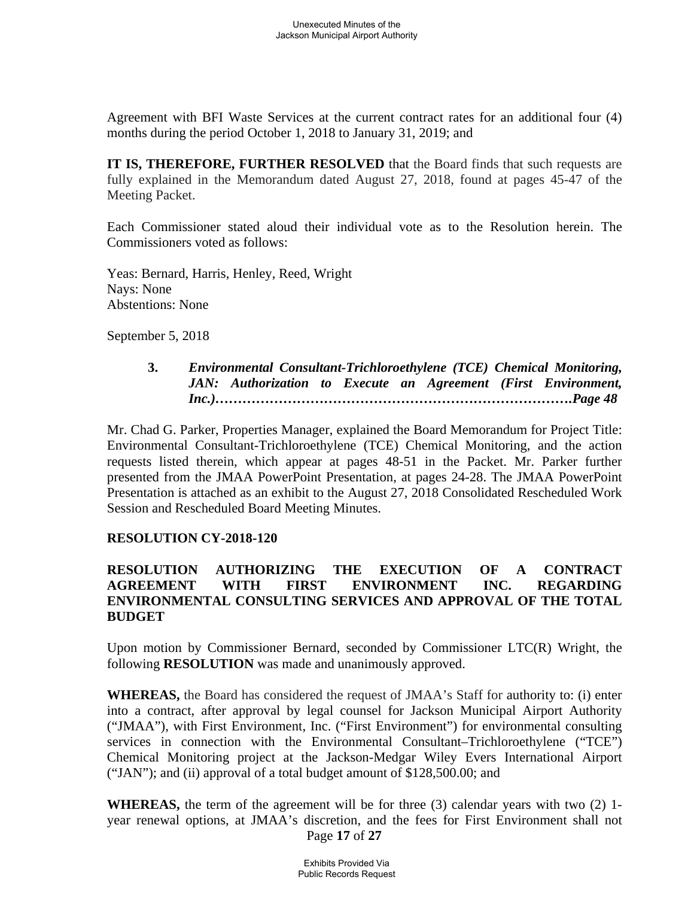Agreement with BFI Waste Services at the current contract rates for an additional four (4) months during the period October 1, 2018 to January 31, 2019; and

**IT IS, THEREFORE, FURTHER RESOLVED** that the Board finds that such requests are fully explained in the Memorandum dated August 27, 2018, found at pages 45-47 of the Meeting Packet.

Each Commissioner stated aloud their individual vote as to the Resolution herein. The Commissioners voted as follows:

Yeas: Bernard, Harris, Henley, Reed, Wright Nays: None Abstentions: None

September 5, 2018

### **3.** *Environmental Consultant-Trichloroethylene (TCE) Chemical Monitoring, JAN: Authorization to Execute an Agreement (First Environment, Inc.)…………………………………………………………………….Page 48*

Mr. Chad G. Parker, Properties Manager, explained the Board Memorandum for Project Title: Environmental Consultant-Trichloroethylene (TCE) Chemical Monitoring, and the action requests listed therein, which appear at pages 48-51 in the Packet. Mr. Parker further presented from the JMAA PowerPoint Presentation, at pages 24-28. The JMAA PowerPoint Presentation is attached as an exhibit to the August 27, 2018 Consolidated Rescheduled Work Session and Rescheduled Board Meeting Minutes.

### **RESOLUTION CY-2018-120**

## **RESOLUTION AUTHORIZING THE EXECUTION OF A CONTRACT AGREEMENT WITH FIRST ENVIRONMENT INC. REGARDING ENVIRONMENTAL CONSULTING SERVICES AND APPROVAL OF THE TOTAL BUDGET**

Upon motion by Commissioner Bernard, seconded by Commissioner LTC(R) Wright, the following **RESOLUTION** was made and unanimously approved.

**WHEREAS,** the Board has considered the request of JMAA's Staff for authority to: (i) enter into a contract, after approval by legal counsel for Jackson Municipal Airport Authority ("JMAA"), with First Environment, Inc. ("First Environment") for environmental consulting services in connection with the Environmental Consultant–Trichloroethylene ("TCE") Chemical Monitoring project at the Jackson-Medgar Wiley Evers International Airport ("JAN"); and (ii) approval of a total budget amount of \$128,500.00; and

Page **17** of **27 WHEREAS,** the term of the agreement will be for three (3) calendar years with two (2) 1 year renewal options, at JMAA's discretion, and the fees for First Environment shall not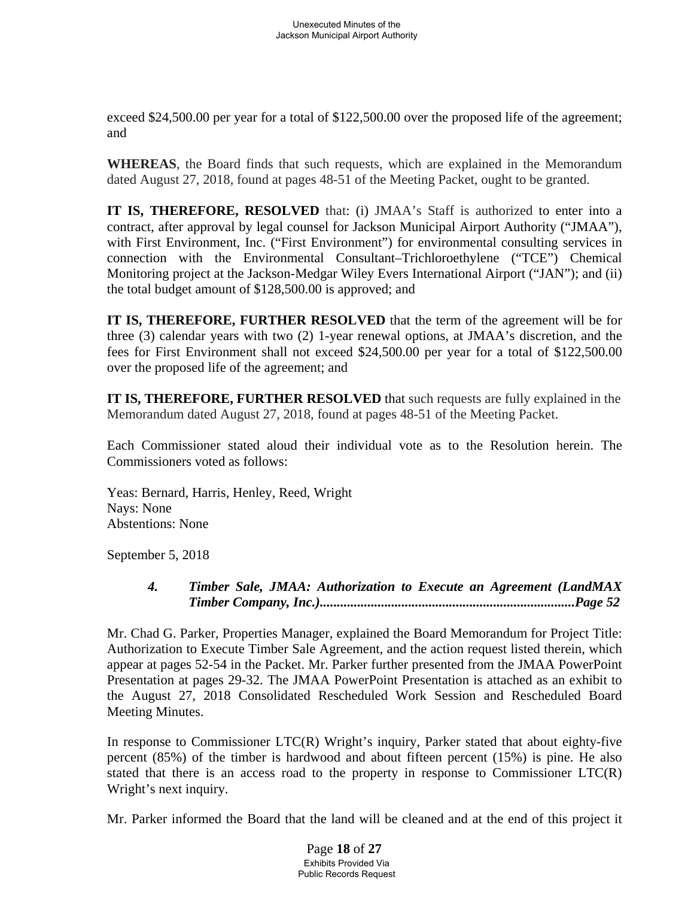exceed \$24,500.00 per year for a total of \$122,500.00 over the proposed life of the agreement; and

**WHEREAS**, the Board finds that such requests, which are explained in the Memorandum dated August 27, 2018, found at pages 48-51 of the Meeting Packet, ought to be granted.

**IT IS, THEREFORE, RESOLVED** that: (i) JMAA's Staff is authorized to enter into a contract, after approval by legal counsel for Jackson Municipal Airport Authority ("JMAA"), with First Environment, Inc. ("First Environment") for environmental consulting services in connection with the Environmental Consultant–Trichloroethylene ("TCE") Chemical Monitoring project at the Jackson-Medgar Wiley Evers International Airport ("JAN"); and (ii) the total budget amount of \$128,500.00 is approved; and

**IT IS, THEREFORE, FURTHER RESOLVED** that the term of the agreement will be for three (3) calendar years with two (2) 1-year renewal options, at JMAA's discretion, and the fees for First Environment shall not exceed \$24,500.00 per year for a total of \$122,500.00 over the proposed life of the agreement; and

**IT IS, THEREFORE, FURTHER RESOLVED** that such requests are fully explained in the Memorandum dated August 27, 2018, found at pages 48-51 of the Meeting Packet.

Each Commissioner stated aloud their individual vote as to the Resolution herein. The Commissioners voted as follows:

Yeas: Bernard, Harris, Henley, Reed, Wright Nays: None Abstentions: None

September 5, 2018

 *4. Timber Sale, JMAA: Authorization to Execute an Agreement (LandMAX Timber Company, Inc.)...........................................................................Page 52* 

Mr. Chad G. Parker, Properties Manager, explained the Board Memorandum for Project Title: Authorization to Execute Timber Sale Agreement, and the action request listed therein, which appear at pages 52-54 in the Packet. Mr. Parker further presented from the JMAA PowerPoint Presentation at pages 29-32. The JMAA PowerPoint Presentation is attached as an exhibit to the August 27, 2018 Consolidated Rescheduled Work Session and Rescheduled Board Meeting Minutes.

In response to Commissioner LTC(R) Wright's inquiry, Parker stated that about eighty-five percent (85%) of the timber is hardwood and about fifteen percent (15%) is pine. He also stated that there is an access road to the property in response to Commissioner LTC(R) Wright's next inquiry.

Mr. Parker informed the Board that the land will be cleaned and at the end of this project it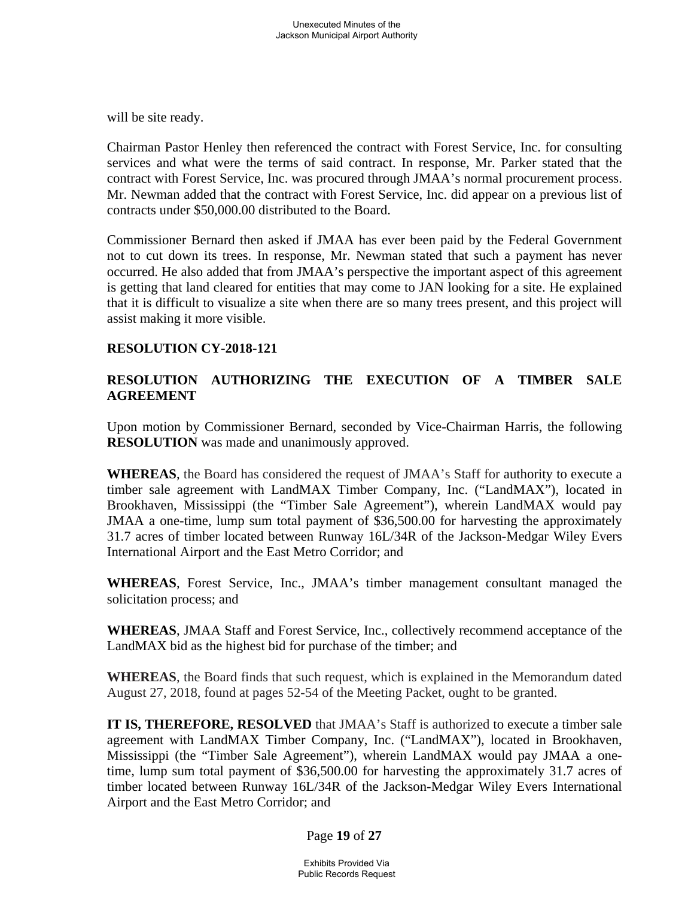will be site ready.

Chairman Pastor Henley then referenced the contract with Forest Service, Inc. for consulting services and what were the terms of said contract. In response, Mr. Parker stated that the contract with Forest Service, Inc. was procured through JMAA's normal procurement process. Mr. Newman added that the contract with Forest Service, Inc. did appear on a previous list of contracts under \$50,000.00 distributed to the Board.

Commissioner Bernard then asked if JMAA has ever been paid by the Federal Government not to cut down its trees. In response, Mr. Newman stated that such a payment has never occurred. He also added that from JMAA's perspective the important aspect of this agreement is getting that land cleared for entities that may come to JAN looking for a site. He explained that it is difficult to visualize a site when there are so many trees present, and this project will assist making it more visible.

## **RESOLUTION CY-2018-121**

# **RESOLUTION AUTHORIZING THE EXECUTION OF A TIMBER SALE AGREEMENT**

Upon motion by Commissioner Bernard, seconded by Vice-Chairman Harris, the following **RESOLUTION** was made and unanimously approved.

**WHEREAS**, the Board has considered the request of JMAA's Staff for authority to execute a timber sale agreement with LandMAX Timber Company, Inc. ("LandMAX"), located in Brookhaven, Mississippi (the "Timber Sale Agreement"), wherein LandMAX would pay JMAA a one-time, lump sum total payment of \$36,500.00 for harvesting the approximately 31.7 acres of timber located between Runway 16L/34R of the Jackson-Medgar Wiley Evers International Airport and the East Metro Corridor; and

**WHEREAS**, Forest Service, Inc., JMAA's timber management consultant managed the solicitation process; and

**WHEREAS**, JMAA Staff and Forest Service, Inc., collectively recommend acceptance of the LandMAX bid as the highest bid for purchase of the timber; and

**WHEREAS**, the Board finds that such request, which is explained in the Memorandum dated August 27, 2018, found at pages 52-54 of the Meeting Packet, ought to be granted.

**IT IS, THEREFORE, RESOLVED** that JMAA's Staff is authorized to execute a timber sale agreement with LandMAX Timber Company, Inc. ("LandMAX"), located in Brookhaven, Mississippi (the "Timber Sale Agreement"), wherein LandMAX would pay JMAA a onetime, lump sum total payment of \$36,500.00 for harvesting the approximately 31.7 acres of timber located between Runway 16L/34R of the Jackson-Medgar Wiley Evers International Airport and the East Metro Corridor; and

Page **19** of **27**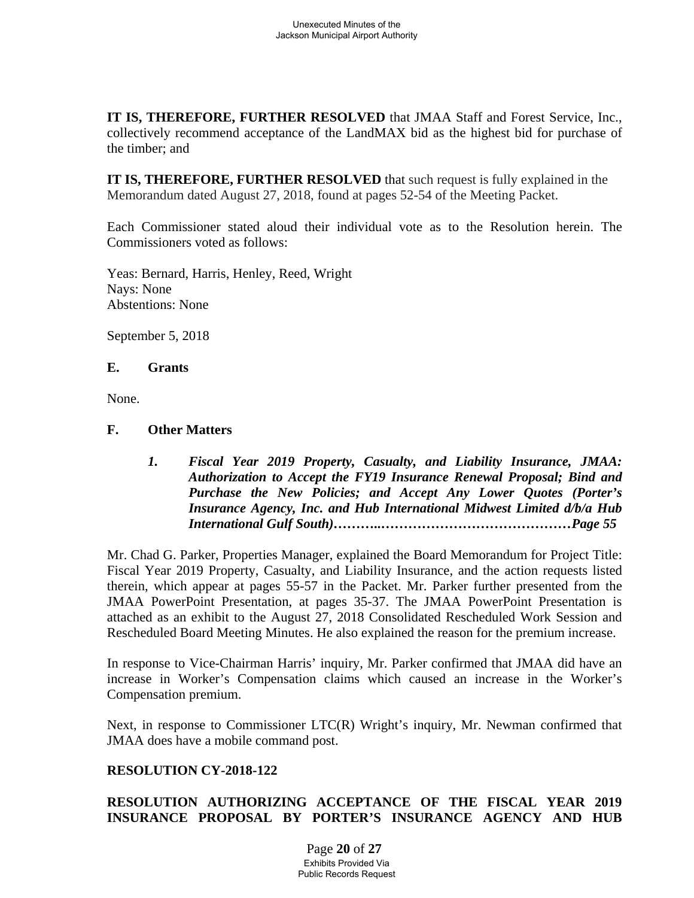**IT IS, THEREFORE, FURTHER RESOLVED** that JMAA Staff and Forest Service, Inc., collectively recommend acceptance of the LandMAX bid as the highest bid for purchase of the timber; and

**IT IS, THEREFORE, FURTHER RESOLVED** that such request is fully explained in the Memorandum dated August 27, 2018, found at pages 52-54 of the Meeting Packet.

Each Commissioner stated aloud their individual vote as to the Resolution herein. The Commissioners voted as follows:

Yeas: Bernard, Harris, Henley, Reed, Wright Nays: None Abstentions: None

September 5, 2018

### **E. Grants**

None.

### **F. Other Matters**

*1. Fiscal Year 2019 Property, Casualty, and Liability Insurance, JMAA: Authorization to Accept the FY19 Insurance Renewal Proposal; Bind and Purchase the New Policies; and Accept Any Lower Quotes (Porter's Insurance Agency, Inc. and Hub International Midwest Limited d/b/a Hub International Gulf South)………..……………………………………Page 55*

Mr. Chad G. Parker, Properties Manager, explained the Board Memorandum for Project Title: Fiscal Year 2019 Property, Casualty, and Liability Insurance, and the action requests listed therein, which appear at pages 55-57 in the Packet. Mr. Parker further presented from the JMAA PowerPoint Presentation, at pages 35-37. The JMAA PowerPoint Presentation is attached as an exhibit to the August 27, 2018 Consolidated Rescheduled Work Session and Rescheduled Board Meeting Minutes. He also explained the reason for the premium increase.

In response to Vice-Chairman Harris' inquiry, Mr. Parker confirmed that JMAA did have an increase in Worker's Compensation claims which caused an increase in the Worker's Compensation premium.

Next, in response to Commissioner LTC(R) Wright's inquiry, Mr. Newman confirmed that JMAA does have a mobile command post.

## **RESOLUTION CY-2018-122**

# **RESOLUTION AUTHORIZING ACCEPTANCE OF THE FISCAL YEAR 2019 INSURANCE PROPOSAL BY PORTER'S INSURANCE AGENCY AND HUB**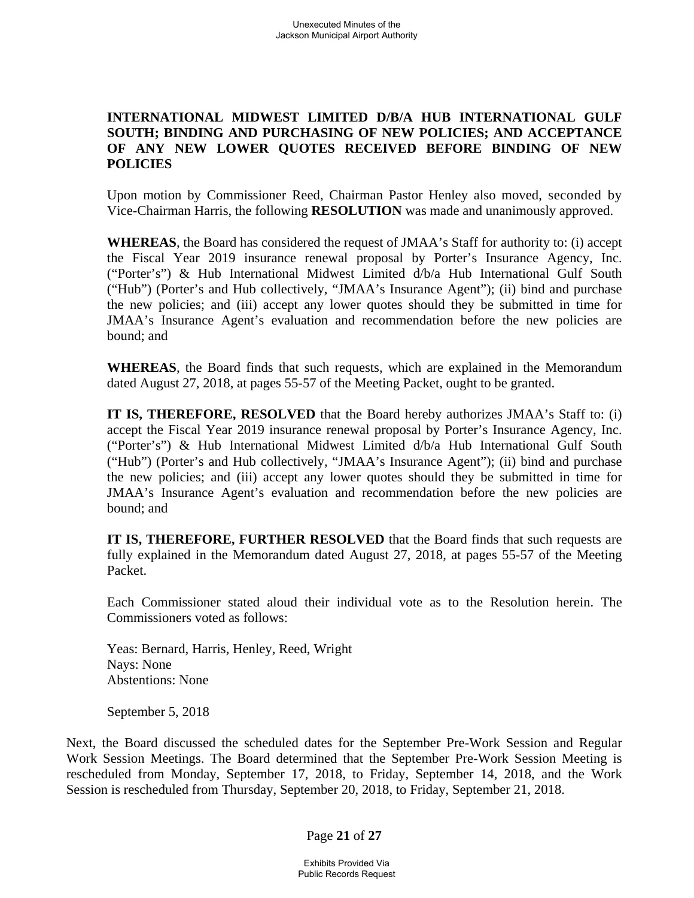## **INTERNATIONAL MIDWEST LIMITED D/B/A HUB INTERNATIONAL GULF SOUTH; BINDING AND PURCHASING OF NEW POLICIES; AND ACCEPTANCE OF ANY NEW LOWER QUOTES RECEIVED BEFORE BINDING OF NEW POLICIES**

Upon motion by Commissioner Reed, Chairman Pastor Henley also moved, seconded by Vice-Chairman Harris, the following **RESOLUTION** was made and unanimously approved.

**WHEREAS**, the Board has considered the request of JMAA's Staff for authority to: (i) accept the Fiscal Year 2019 insurance renewal proposal by Porter's Insurance Agency, Inc. ("Porter's") & Hub International Midwest Limited d/b/a Hub International Gulf South ("Hub") (Porter's and Hub collectively, "JMAA's Insurance Agent"); (ii) bind and purchase the new policies; and (iii) accept any lower quotes should they be submitted in time for JMAA's Insurance Agent's evaluation and recommendation before the new policies are bound; and

**WHEREAS**, the Board finds that such requests, which are explained in the Memorandum dated August 27, 2018, at pages 55-57 of the Meeting Packet, ought to be granted.

**IT IS, THEREFORE, RESOLVED** that the Board hereby authorizes JMAA's Staff to: (i) accept the Fiscal Year 2019 insurance renewal proposal by Porter's Insurance Agency, Inc. ("Porter's") & Hub International Midwest Limited d/b/a Hub International Gulf South ("Hub") (Porter's and Hub collectively, "JMAA's Insurance Agent"); (ii) bind and purchase the new policies; and (iii) accept any lower quotes should they be submitted in time for JMAA's Insurance Agent's evaluation and recommendation before the new policies are bound; and

**IT IS, THEREFORE, FURTHER RESOLVED** that the Board finds that such requests are fully explained in the Memorandum dated August 27, 2018, at pages 55-57 of the Meeting Packet.

Each Commissioner stated aloud their individual vote as to the Resolution herein. The Commissioners voted as follows:

Yeas: Bernard, Harris, Henley, Reed, Wright Nays: None Abstentions: None

September 5, 2018

Next, the Board discussed the scheduled dates for the September Pre-Work Session and Regular Work Session Meetings. The Board determined that the September Pre-Work Session Meeting is rescheduled from Monday, September 17, 2018, to Friday, September 14, 2018, and the Work Session is rescheduled from Thursday, September 20, 2018, to Friday, September 21, 2018.

Page **21** of **27**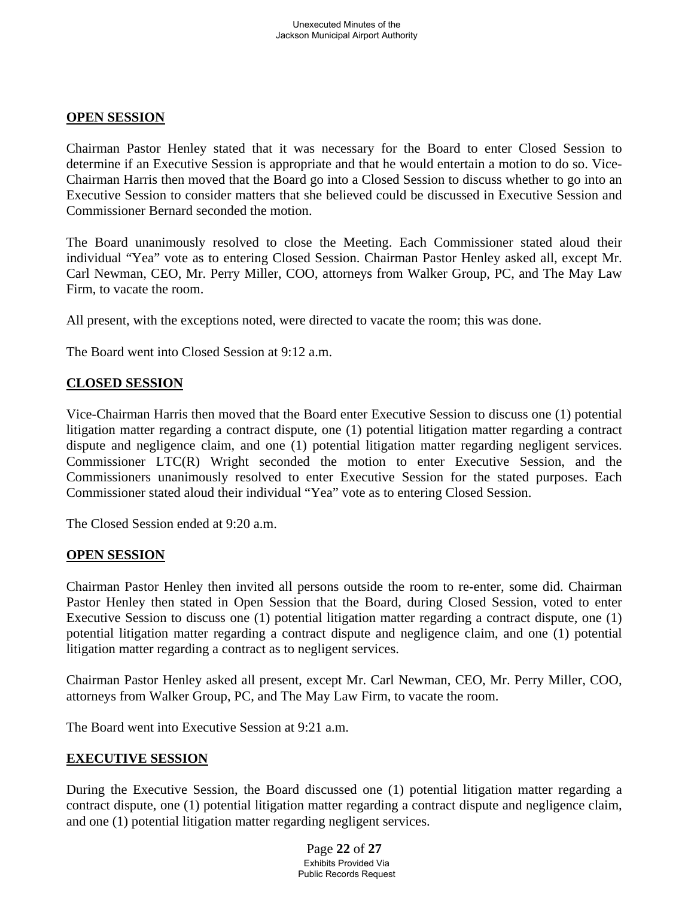## **OPEN SESSION**

Chairman Pastor Henley stated that it was necessary for the Board to enter Closed Session to determine if an Executive Session is appropriate and that he would entertain a motion to do so. Vice-Chairman Harris then moved that the Board go into a Closed Session to discuss whether to go into an Executive Session to consider matters that she believed could be discussed in Executive Session and Commissioner Bernard seconded the motion.

The Board unanimously resolved to close the Meeting. Each Commissioner stated aloud their individual "Yea" vote as to entering Closed Session. Chairman Pastor Henley asked all, except Mr. Carl Newman, CEO, Mr. Perry Miller, COO, attorneys from Walker Group, PC, and The May Law Firm, to vacate the room.

All present, with the exceptions noted, were directed to vacate the room; this was done.

The Board went into Closed Session at 9:12 a.m.

# **CLOSED SESSION**

Vice-Chairman Harris then moved that the Board enter Executive Session to discuss one (1) potential litigation matter regarding a contract dispute, one (1) potential litigation matter regarding a contract dispute and negligence claim, and one (1) potential litigation matter regarding negligent services. Commissioner LTC(R) Wright seconded the motion to enter Executive Session, and the Commissioners unanimously resolved to enter Executive Session for the stated purposes. Each Commissioner stated aloud their individual "Yea" vote as to entering Closed Session.

The Closed Session ended at 9:20 a.m.

## **OPEN SESSION**

Chairman Pastor Henley then invited all persons outside the room to re-enter, some did. Chairman Pastor Henley then stated in Open Session that the Board, during Closed Session, voted to enter Executive Session to discuss one (1) potential litigation matter regarding a contract dispute, one (1) potential litigation matter regarding a contract dispute and negligence claim, and one (1) potential litigation matter regarding a contract as to negligent services.

Chairman Pastor Henley asked all present, except Mr. Carl Newman, CEO, Mr. Perry Miller, COO, attorneys from Walker Group, PC, and The May Law Firm, to vacate the room.

The Board went into Executive Session at 9:21 a.m.

## **EXECUTIVE SESSION**

During the Executive Session, the Board discussed one (1) potential litigation matter regarding a contract dispute, one (1) potential litigation matter regarding a contract dispute and negligence claim, and one (1) potential litigation matter regarding negligent services.

> Page **22** of **27** Exhibits Provided Via Public Records Request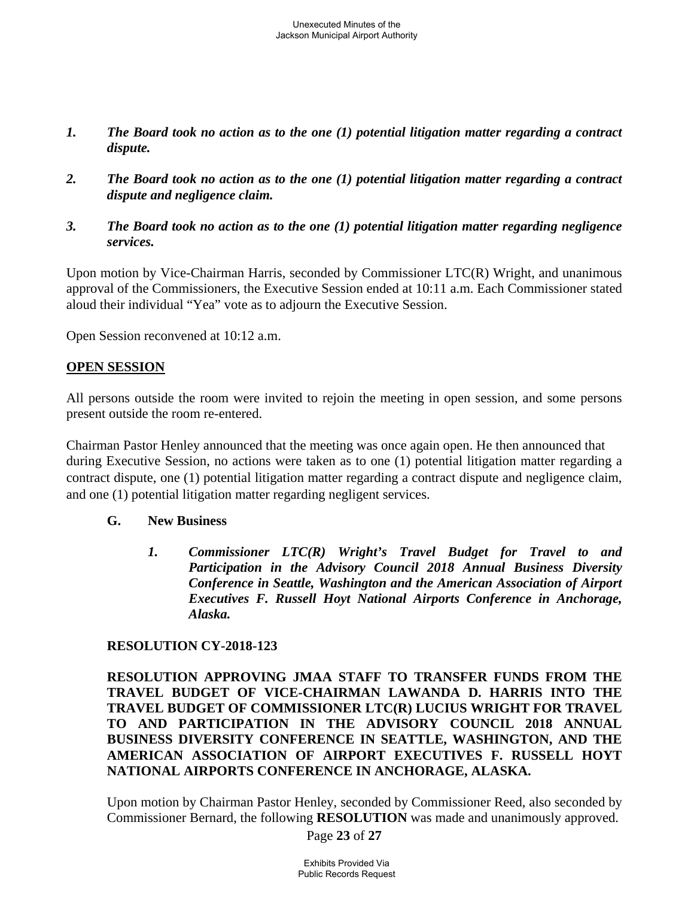- *1. The Board took no action as to the one (1) potential litigation matter regarding a contract dispute.*
- *2. The Board took no action as to the one (1) potential litigation matter regarding a contract dispute and negligence claim.*
- *3. The Board took no action as to the one (1) potential litigation matter regarding negligence services.*

Upon motion by Vice-Chairman Harris, seconded by Commissioner LTC(R) Wright, and unanimous approval of the Commissioners, the Executive Session ended at 10:11 a.m. Each Commissioner stated aloud their individual "Yea" vote as to adjourn the Executive Session.

Open Session reconvened at 10:12 a.m.

### **OPEN SESSION**

All persons outside the room were invited to rejoin the meeting in open session, and some persons present outside the room re-entered.

Chairman Pastor Henley announced that the meeting was once again open. He then announced that during Executive Session, no actions were taken as to one (1) potential litigation matter regarding a contract dispute, one (1) potential litigation matter regarding a contract dispute and negligence claim, and one (1) potential litigation matter regarding negligent services.

### **G. New Business**

*1. Commissioner LTC(R) Wright's Travel Budget for Travel to and Participation in the Advisory Council 2018 Annual Business Diversity Conference in Seattle, Washington and the American Association of Airport Executives F. Russell Hoyt National Airports Conference in Anchorage, Alaska.* 

### **RESOLUTION CY-2018-123**

**RESOLUTION APPROVING JMAA STAFF TO TRANSFER FUNDS FROM THE TRAVEL BUDGET OF VICE-CHAIRMAN LAWANDA D. HARRIS INTO THE TRAVEL BUDGET OF COMMISSIONER LTC(R) LUCIUS WRIGHT FOR TRAVEL TO AND PARTICIPATION IN THE ADVISORY COUNCIL 2018 ANNUAL BUSINESS DIVERSITY CONFERENCE IN SEATTLE, WASHINGTON, AND THE AMERICAN ASSOCIATION OF AIRPORT EXECUTIVES F. RUSSELL HOYT NATIONAL AIRPORTS CONFERENCE IN ANCHORAGE, ALASKA.** 

Upon motion by Chairman Pastor Henley, seconded by Commissioner Reed, also seconded by Commissioner Bernard, the following **RESOLUTION** was made and unanimously approved.

Page **23** of **27**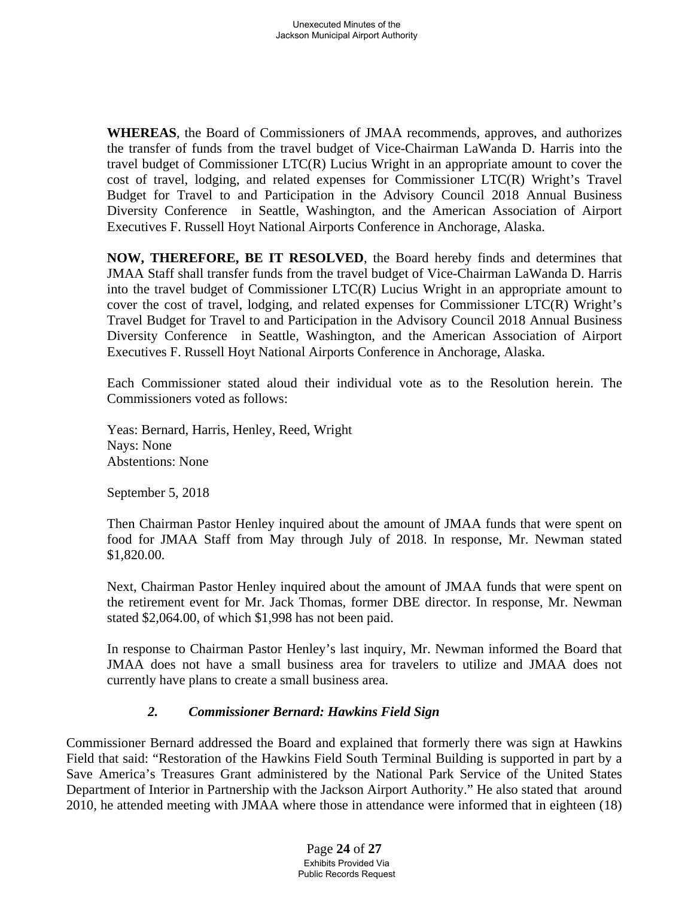**WHEREAS**, the Board of Commissioners of JMAA recommends, approves, and authorizes the transfer of funds from the travel budget of Vice-Chairman LaWanda D. Harris into the travel budget of Commissioner LTC(R) Lucius Wright in an appropriate amount to cover the cost of travel, lodging, and related expenses for Commissioner LTC(R) Wright's Travel Budget for Travel to and Participation in the Advisory Council 2018 Annual Business Diversity Conference in Seattle, Washington, and the American Association of Airport Executives F. Russell Hoyt National Airports Conference in Anchorage, Alaska.

**NOW, THEREFORE, BE IT RESOLVED**, the Board hereby finds and determines that JMAA Staff shall transfer funds from the travel budget of Vice-Chairman LaWanda D. Harris into the travel budget of Commissioner LTC(R) Lucius Wright in an appropriate amount to cover the cost of travel, lodging, and related expenses for Commissioner LTC(R) Wright's Travel Budget for Travel to and Participation in the Advisory Council 2018 Annual Business Diversity Conference in Seattle, Washington, and the American Association of Airport Executives F. Russell Hoyt National Airports Conference in Anchorage, Alaska.

Each Commissioner stated aloud their individual vote as to the Resolution herein. The Commissioners voted as follows:

Yeas: Bernard, Harris, Henley, Reed, Wright Nays: None Abstentions: None

September 5, 2018

Then Chairman Pastor Henley inquired about the amount of JMAA funds that were spent on food for JMAA Staff from May through July of 2018. In response, Mr. Newman stated \$1,820.00.

Next, Chairman Pastor Henley inquired about the amount of JMAA funds that were spent on the retirement event for Mr. Jack Thomas, former DBE director. In response, Mr. Newman stated \$2,064.00, of which \$1,998 has not been paid.

In response to Chairman Pastor Henley's last inquiry, Mr. Newman informed the Board that JMAA does not have a small business area for travelers to utilize and JMAA does not currently have plans to create a small business area.

## *2. Commissioner Bernard: Hawkins Field Sign*

Commissioner Bernard addressed the Board and explained that formerly there was sign at Hawkins Field that said: "Restoration of the Hawkins Field South Terminal Building is supported in part by a Save America's Treasures Grant administered by the National Park Service of the United States Department of Interior in Partnership with the Jackson Airport Authority." He also stated that around 2010, he attended meeting with JMAA where those in attendance were informed that in eighteen (18)

> Page **24** of **27** Exhibits Provided Via Public Records Request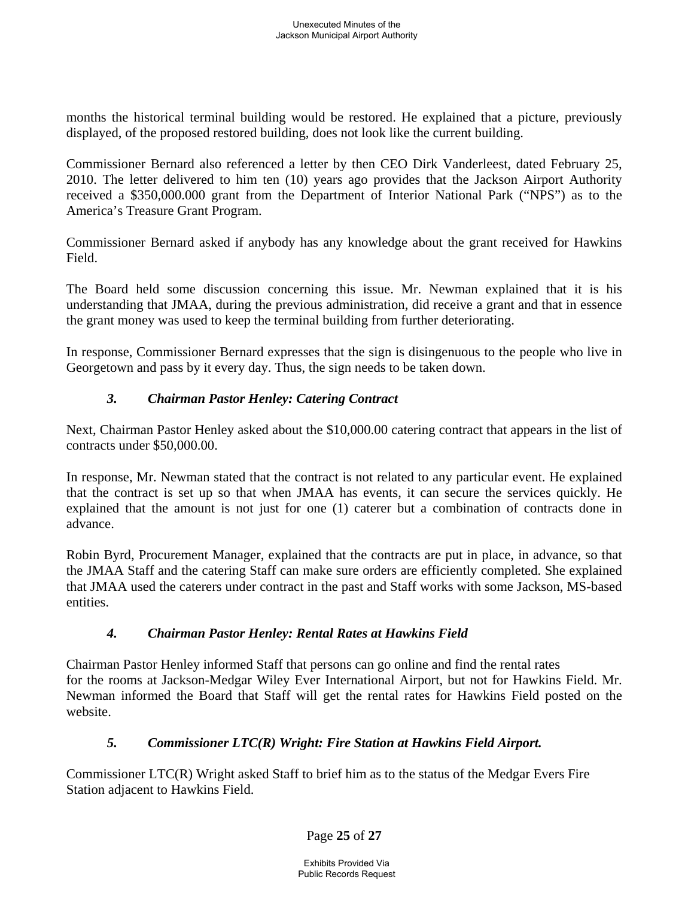months the historical terminal building would be restored. He explained that a picture, previously displayed, of the proposed restored building, does not look like the current building.

Commissioner Bernard also referenced a letter by then CEO Dirk Vanderleest, dated February 25, 2010. The letter delivered to him ten (10) years ago provides that the Jackson Airport Authority received a \$350,000.000 grant from the Department of Interior National Park ("NPS") as to the America's Treasure Grant Program.

Commissioner Bernard asked if anybody has any knowledge about the grant received for Hawkins Field.

The Board held some discussion concerning this issue. Mr. Newman explained that it is his understanding that JMAA, during the previous administration, did receive a grant and that in essence the grant money was used to keep the terminal building from further deteriorating.

In response, Commissioner Bernard expresses that the sign is disingenuous to the people who live in Georgetown and pass by it every day. Thus, the sign needs to be taken down.

# *3. Chairman Pastor Henley: Catering Contract*

Next, Chairman Pastor Henley asked about the \$10,000.00 catering contract that appears in the list of contracts under \$50,000.00.

In response, Mr. Newman stated that the contract is not related to any particular event. He explained that the contract is set up so that when JMAA has events, it can secure the services quickly. He explained that the amount is not just for one (1) caterer but a combination of contracts done in advance.

Robin Byrd, Procurement Manager, explained that the contracts are put in place, in advance, so that the JMAA Staff and the catering Staff can make sure orders are efficiently completed. She explained that JMAA used the caterers under contract in the past and Staff works with some Jackson, MS-based entities.

# *4. Chairman Pastor Henley: Rental Rates at Hawkins Field*

Chairman Pastor Henley informed Staff that persons can go online and find the rental rates for the rooms at Jackson-Medgar Wiley Ever International Airport, but not for Hawkins Field. Mr. Newman informed the Board that Staff will get the rental rates for Hawkins Field posted on the website.

# *5. Commissioner LTC(R) Wright: Fire Station at Hawkins Field Airport.*

Commissioner LTC(R) Wright asked Staff to brief him as to the status of the Medgar Evers Fire Station adjacent to Hawkins Field.

Page **25** of **27**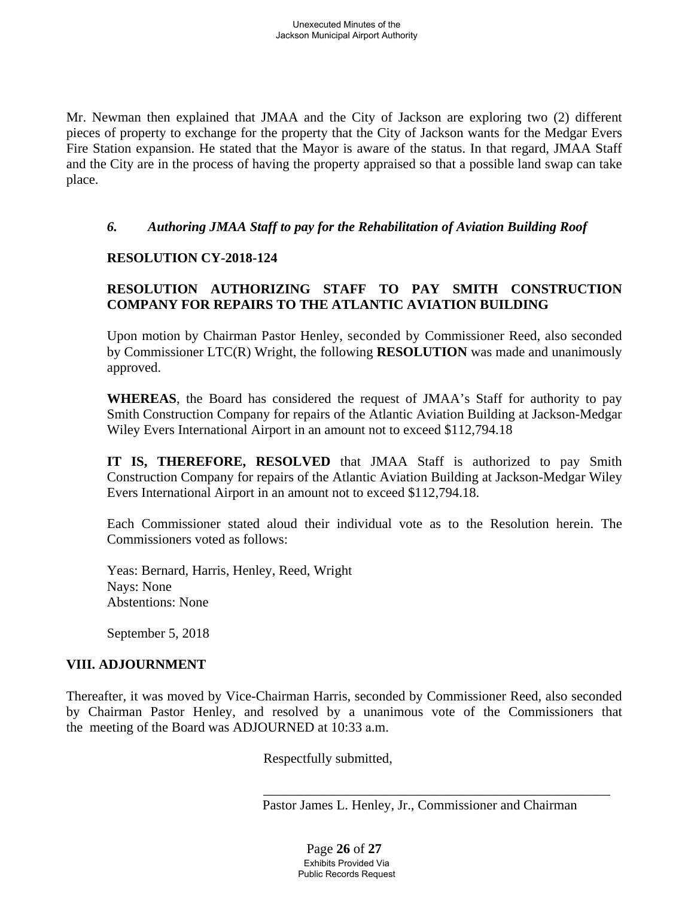Mr. Newman then explained that JMAA and the City of Jackson are exploring two (2) different pieces of property to exchange for the property that the City of Jackson wants for the Medgar Evers Fire Station expansion. He stated that the Mayor is aware of the status. In that regard, JMAA Staff and the City are in the process of having the property appraised so that a possible land swap can take place.

### *6. Authoring JMAA Staff to pay for the Rehabilitation of Aviation Building Roof*

### **RESOLUTION CY-2018-124**

# **RESOLUTION AUTHORIZING STAFF TO PAY SMITH CONSTRUCTION COMPANY FOR REPAIRS TO THE ATLANTIC AVIATION BUILDING**

Upon motion by Chairman Pastor Henley, seconded by Commissioner Reed, also seconded by Commissioner LTC(R) Wright, the following **RESOLUTION** was made and unanimously approved.

**WHEREAS**, the Board has considered the request of JMAA's Staff for authority to pay Smith Construction Company for repairs of the Atlantic Aviation Building at Jackson-Medgar Wiley Evers International Airport in an amount not to exceed \$112,794.18

**IT IS, THEREFORE, RESOLVED** that JMAA Staff is authorized to pay Smith Construction Company for repairs of the Atlantic Aviation Building at Jackson-Medgar Wiley Evers International Airport in an amount not to exceed \$112,794.18.

Each Commissioner stated aloud their individual vote as to the Resolution herein. The Commissioners voted as follows:

Yeas: Bernard, Harris, Henley, Reed, Wright Nays: None Abstentions: None

September 5, 2018

### **VIII. ADJOURNMENT**

Thereafter, it was moved by Vice-Chairman Harris, seconded by Commissioner Reed, also seconded by Chairman Pastor Henley, and resolved by a unanimous vote of the Commissioners that the meeting of the Board was ADJOURNED at 10:33 a.m.

Respectfully submitted,

 $\overline{\phantom{a}}$  ,  $\overline{\phantom{a}}$  ,  $\overline{\phantom{a}}$  ,  $\overline{\phantom{a}}$  ,  $\overline{\phantom{a}}$  ,  $\overline{\phantom{a}}$  ,  $\overline{\phantom{a}}$  ,  $\overline{\phantom{a}}$  ,  $\overline{\phantom{a}}$  ,  $\overline{\phantom{a}}$  ,  $\overline{\phantom{a}}$  ,  $\overline{\phantom{a}}$  ,  $\overline{\phantom{a}}$  ,  $\overline{\phantom{a}}$  ,  $\overline{\phantom{a}}$  ,  $\overline{\phantom{a}}$ Pastor James L. Henley, Jr., Commissioner and Chairman

> Page **26** of **27** Exhibits Provided Via Public Records Request